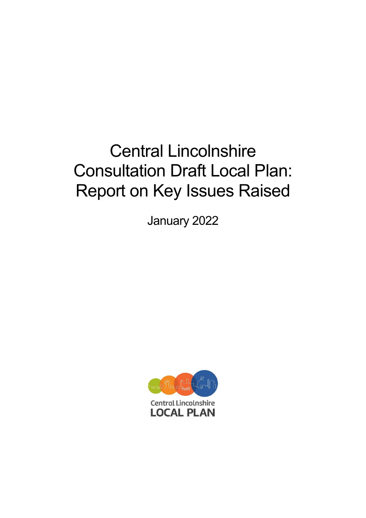# Central Lincolnshire Consultation Draft Local Plan: Report on Key Issues Raised

January 2022

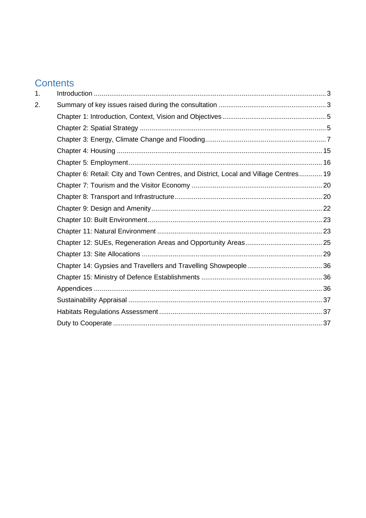# **Contents**

| 1. |                                                                                      |  |
|----|--------------------------------------------------------------------------------------|--|
| 2. |                                                                                      |  |
|    |                                                                                      |  |
|    |                                                                                      |  |
|    |                                                                                      |  |
|    |                                                                                      |  |
|    |                                                                                      |  |
|    | Chapter 6: Retail: City and Town Centres, and District, Local and Village Centres 19 |  |
|    |                                                                                      |  |
|    |                                                                                      |  |
|    |                                                                                      |  |
|    |                                                                                      |  |
|    |                                                                                      |  |
|    |                                                                                      |  |
|    |                                                                                      |  |
|    |                                                                                      |  |
|    |                                                                                      |  |
|    |                                                                                      |  |
|    |                                                                                      |  |
|    |                                                                                      |  |
|    |                                                                                      |  |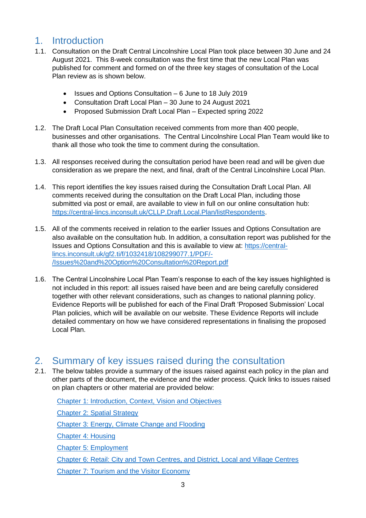# <span id="page-2-0"></span>1. Introduction

- 1.1. Consultation on the Draft Central Lincolnshire Local Plan took place between 30 June and 24 August 2021. This 8-week consultation was the first time that the new Local Plan was published for comment and formed on of the three key stages of consultation of the Local Plan review as is shown below.
	- Issues and Options Consultation 6 June to 18 July 2019
	- Consultation Draft Local Plan 30 June to 24 August 2021
	- Proposed Submission Draft Local Plan Expected spring 2022
- 1.2. The Draft Local Plan Consultation received comments from more than 400 people, businesses and other organisations. The Central Lincolnshire Local Plan Team would like to thank all those who took the time to comment during the consultation.
- 1.3. All responses received during the consultation period have been read and will be given due consideration as we prepare the next, and final, draft of the Central Lincolnshire Local Plan.
- 1.4. This report identifies the key issues raised during the Consultation Draft Local Plan. All comments received during the consultation on the Draft Local Plan, including those submitted via post or email, are available to view in full on our online consultation hub: [https://central-lincs.inconsult.uk/CLLP.Draft.Local.Plan/listRespondents.](https://central-lincs.inconsult.uk/CLLP.Draft.Local.Plan/listRespondents)
- 1.5. All of the comments received in relation to the earlier Issues and Options Consultation are also available on the consultation hub. In addition, a consultation report was published for the Issues and Options Consultation and this is available to view at: [https://central](https://central-lincs.inconsult.uk/gf2.ti/f/1032418/108299077.1/PDF/-/Issues%20and%20Option%20Consultation%20Report.pdf)[lincs.inconsult.uk/gf2.ti/f/1032418/108299077.1/PDF/-](https://central-lincs.inconsult.uk/gf2.ti/f/1032418/108299077.1/PDF/-/Issues%20and%20Option%20Consultation%20Report.pdf) [/Issues%20and%20Option%20Consultation%20Report.pdf](https://central-lincs.inconsult.uk/gf2.ti/f/1032418/108299077.1/PDF/-/Issues%20and%20Option%20Consultation%20Report.pdf)
- 1.6. The Central Lincolnshire Local Plan Team's response to each of the key issues highlighted is not included in this report: all issues raised have been and are being carefully considered together with other relevant considerations, such as changes to national planning policy. Evidence Reports will be published for each of the Final Draft 'Proposed Submission' Local Plan policies, which will be available on our website. These Evidence Reports will include detailed commentary on how we have considered representations in finalising the proposed Local Plan.

## <span id="page-2-1"></span>2. Summary of key issues raised during the consultation

2.1. The below tables provide a summary of the issues raised against each policy in the plan and other parts of the document, the evidence and the wider process. Quick links to issues raised on plan chapters or other material are provided below:

[Chapter 1: Introduction, Context, Vision and Objectives](#page-4-0) [Chapter 2: Spatial Strategy](#page-4-1) [Chapter 3: Energy, Climate Change and Flooding](#page-6-0) [Chapter 4: Housing](#page-14-0) [Chapter 5: Employment](#page-15-0) [Chapter 6: Retail: City and Town Centres, and District, Local and Village Centres](#page-18-0) [Chapter 7: Tourism and the Visitor Economy](#page-19-0)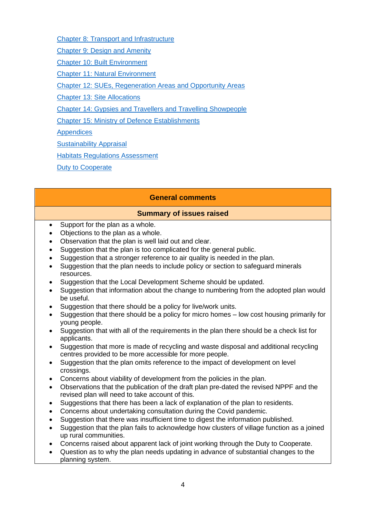[Chapter 8: Transport and Infrastructure](#page-19-1)

[Chapter 9: Design and Amenity](#page-21-0)

[Chapter 10: Built Environment](#page-22-0)

[Chapter 11: Natural Environment](#page-22-1)

[Chapter 12: SUEs, Regeneration Areas and Opportunity Areas](#page-24-0)

[Chapter 13: Site Allocations](#page-28-0)

[Chapter 14: Gypsies and Travellers and Travelling Showpeople](#page-29-0)

[Chapter 15: Ministry of Defence Establishments](#page-35-1)

**[Appendices](#page-35-2)** 

[Sustainability Appraisal](#page-36-0)

[Habitats Regulations Assessment](#page-36-1)

[Duty to Cooperate](#page-36-2)

## **General comments**

- Support for the plan as a whole.
- Objections to the plan as a whole.
- Observation that the plan is well laid out and clear.
- Suggestion that the plan is too complicated for the general public.
- Suggestion that a stronger reference to air quality is needed in the plan.
- Suggestion that the plan needs to include policy or section to safeguard minerals resources.
- Suggestion that the Local Development Scheme should be updated.
- Suggestion that information about the change to numbering from the adopted plan would be useful.
- Suggestion that there should be a policy for live/work units.
- Suggestion that there should be a policy for micro homes low cost housing primarily for young people.
- Suggestion that with all of the requirements in the plan there should be a check list for applicants.
- Suggestion that more is made of recycling and waste disposal and additional recycling centres provided to be more accessible for more people.
- Suggestion that the plan omits reference to the impact of development on level crossings.
- Concerns about viability of development from the policies in the plan.
- Observations that the publication of the draft plan pre-dated the revised NPPF and the revised plan will need to take account of this.
- Suggestions that there has been a lack of explanation of the plan to residents.
- Concerns about undertaking consultation during the Covid pandemic.
- Suggestion that there was insufficient time to digest the information published.
- Suggestion that the plan fails to acknowledge how clusters of village function as a joined up rural communities.
- Concerns raised about apparent lack of joint working through the Duty to Cooperate.
- Question as to why the plan needs updating in advance of substantial changes to the planning system.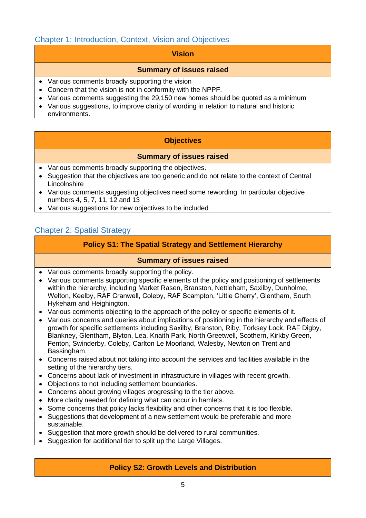## <span id="page-4-0"></span>Chapter 1: Introduction, Context, Vision and Objectives

#### **Vision**

#### **Summary of issues raised**

- Various comments broadly supporting the vision
- Concern that the vision is not in conformity with the NPPF.
- Various comments suggesting the 29,150 new homes should be quoted as a minimum
- Various suggestions, to improve clarity of wording in relation to natural and historic environments.

## **Objectives**

#### **Summary of issues raised**

- Various comments broadly supporting the objectives.
- Suggestion that the objectives are too generic and do not relate to the context of Central Lincolnshire
- Various comments suggesting objectives need some rewording. In particular objective numbers 4, 5, 7, 11, 12 and 13
- Various suggestions for new objectives to be included

## <span id="page-4-1"></span>Chapter 2: Spatial Strategy

## **Policy S1: The Spatial Strategy and Settlement Hierarchy**

## **Summary of issues raised**

- Various comments broadly supporting the policy.
- Various comments supporting specific elements of the policy and positioning of settlements within the hierarchy, including Market Rasen, Branston, Nettleham, Saxilby, Dunholme, Welton, Keelby, RAF Cranwell, Coleby, RAF Scampton, 'Little Cherry', Glentham, South Hykeham and Heighington.
- Various comments objecting to the approach of the policy or specific elements of it.
- Various concerns and queries about implications of positioning in the hierarchy and effects of growth for specific settlements including Saxilby, Branston, Riby, Torksey Lock, RAF Digby, Blankney, Glentham, Blyton, Lea, Knaith Park, North Greetwell, Scothern, Kirkby Green, Fenton, Swinderby, Coleby, Carlton Le Moorland, Walesby, Newton on Trent and Bassingham.
- Concerns raised about not taking into account the services and facilities available in the setting of the hierarchy tiers.
- Concerns about lack of investment in infrastructure in villages with recent growth.
- Objections to not including settlement boundaries.
- Concerns about growing villages progressing to the tier above.
- More clarity needed for defining what can occur in hamlets.
- Some concerns that policy lacks flexibility and other concerns that it is too flexible.
- Suggestions that development of a new settlement would be preferable and more sustainable.
- Suggestion that more growth should be delivered to rural communities.
- Suggestion for additional tier to split up the Large Villages.

## **Policy S2: Growth Levels and Distribution**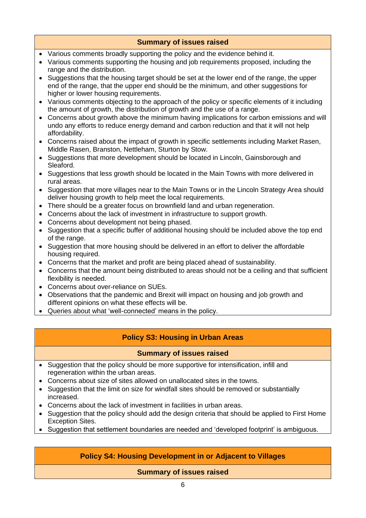## **Summary of issues raised**

- Various comments broadly supporting the policy and the evidence behind it.
- Various comments supporting the housing and job requirements proposed, including the range and the distribution.
- Suggestions that the housing target should be set at the lower end of the range, the upper end of the range, that the upper end should be the minimum, and other suggestions for higher or lower housing requirements.
- Various comments objecting to the approach of the policy or specific elements of it including the amount of growth, the distribution of growth and the use of a range.
- Concerns about growth above the minimum having implications for carbon emissions and will undo any efforts to reduce energy demand and carbon reduction and that it will not help affordability.
- Concerns raised about the impact of growth in specific settlements including Market Rasen, Middle Rasen, Branston, Nettleham, Sturton by Stow.
- Suggestions that more development should be located in Lincoln, Gainsborough and Sleaford.
- Suggestions that less growth should be located in the Main Towns with more delivered in rural areas.
- Suggestion that more villages near to the Main Towns or in the Lincoln Strategy Area should deliver housing growth to help meet the local requirements.
- There should be a greater focus on brownfield land and urban regeneration.
- Concerns about the lack of investment in infrastructure to support growth.
- Concerns about development not being phased.
- Suggestion that a specific buffer of additional housing should be included above the top end of the range.
- Suggestion that more housing should be delivered in an effort to deliver the affordable housing required.
- Concerns that the market and profit are being placed ahead of sustainability.
- Concerns that the amount being distributed to areas should not be a ceiling and that sufficient flexibility is needed.
- Concerns about over-reliance on SUEs.
- Observations that the pandemic and Brexit will impact on housing and job growth and different opinions on what these effects will be.
- Queries about what 'well-connected' means in the policy.

## **Policy S3: Housing in Urban Areas**

## **Summary of issues raised**

- Suggestion that the policy should be more supportive for intensification, infill and regeneration within the urban areas.
- Concerns about size of sites allowed on unallocated sites in the towns.
- Suggestion that the limit on size for windfall sites should be removed or substantially increased.
- Concerns about the lack of investment in facilities in urban areas.
- Suggestion that the policy should add the design criteria that should be applied to First Home Exception Sites.
- Suggestion that settlement boundaries are needed and 'developed footprint' is ambiguous.

## **Policy S4: Housing Development in or Adjacent to Villages**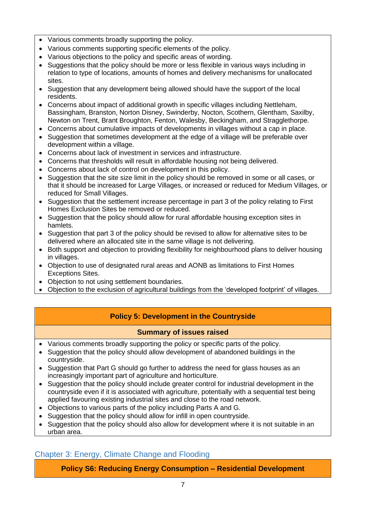- Various comments broadly supporting the policy.
- Various comments supporting specific elements of the policy.
- Various objections to the policy and specific areas of wording.
- Suggestions that the policy should be more or less flexible in various ways including in relation to type of locations, amounts of homes and delivery mechanisms for unallocated sites.
- Suggestion that any development being allowed should have the support of the local residents.
- Concerns about impact of additional growth in specific villages including Nettleham, Bassingham, Branston, Norton Disney, Swinderby, Nocton, Scothern, Glentham, Saxilby, Newton on Trent, Brant Broughton, Fenton, Walesby, Beckingham, and Stragglethorpe.
- Concerns about cumulative impacts of developments in villages without a cap in place.
- Suggestion that sometimes development at the edge of a village will be preferable over development within a village.
- Concerns about lack of investment in services and infrastructure.
- Concerns that thresholds will result in affordable housing not being delivered.
- Concerns about lack of control on development in this policy.
- Suggestion that the site size limit in the policy should be removed in some or all cases, or that it should be increased for Large Villages, or increased or reduced for Medium Villages, or reduced for Small Villages.
- Suggestion that the settlement increase percentage in part 3 of the policy relating to First Homes Exclusion Sites be removed or reduced.
- Suggestion that the policy should allow for rural affordable housing exception sites in hamlets.
- Suggestion that part 3 of the policy should be revised to allow for alternative sites to be delivered where an allocated site in the same village is not delivering.
- Both support and objection to providing flexibility for neighbourhood plans to deliver housing in villages.
- Objection to use of designated rural areas and AONB as limitations to First Homes Exceptions Sites.
- Objection to not using settlement boundaries.
- Objection to the exclusion of agricultural buildings from the 'developed footprint' of villages.

## **Policy 5: Development in the Countryside**

## **Summary of issues raised**

- Various comments broadly supporting the policy or specific parts of the policy.
- Suggestion that the policy should allow development of abandoned buildings in the countryside.
- Suggestion that Part G should go further to address the need for glass houses as an increasingly important part of agriculture and horticulture.
- Suggestion that the policy should include greater control for industrial development in the countryside even if it is associated with agriculture, potentially with a sequential test being applied favouring existing industrial sites and close to the road network.
- Objections to various parts of the policy including Parts A and G.
- Suggestion that the policy should allow for infill in open countryside.
- Suggestion that the policy should also allow for development where it is not suitable in an urban area.

## <span id="page-6-0"></span>Chapter 3: Energy, Climate Change and Flooding

**Policy S6: Reducing Energy Consumption – Residential Development**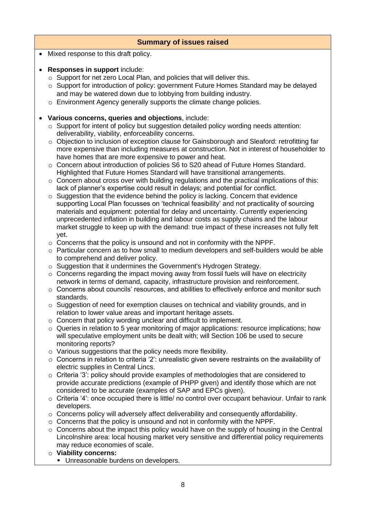|           | <b>Summary of issues raised</b>                                                                                                                                                                                                                                                                                                                                                                                                                                                                                                                                                                                                                                                                                                                                                                                                                                                                                                                                                                                                                                                                                                                                                                                                                                                                              |  |  |
|-----------|--------------------------------------------------------------------------------------------------------------------------------------------------------------------------------------------------------------------------------------------------------------------------------------------------------------------------------------------------------------------------------------------------------------------------------------------------------------------------------------------------------------------------------------------------------------------------------------------------------------------------------------------------------------------------------------------------------------------------------------------------------------------------------------------------------------------------------------------------------------------------------------------------------------------------------------------------------------------------------------------------------------------------------------------------------------------------------------------------------------------------------------------------------------------------------------------------------------------------------------------------------------------------------------------------------------|--|--|
| $\bullet$ | Mixed response to this draft policy.                                                                                                                                                                                                                                                                                                                                                                                                                                                                                                                                                                                                                                                                                                                                                                                                                                                                                                                                                                                                                                                                                                                                                                                                                                                                         |  |  |
|           | Responses in support include:<br>$\circ$ Support for net zero Local Plan, and policies that will deliver this.<br>○ Support for introduction of policy: government Future Homes Standard may be delayed<br>and may be watered down due to lobbying from building industry.<br>Environment Agency generally supports the climate change policies.                                                                                                                                                                                                                                                                                                                                                                                                                                                                                                                                                                                                                                                                                                                                                                                                                                                                                                                                                             |  |  |
|           | Various concerns, queries and objections, include:<br>$\circ$ Support for intent of policy but suggestion detailed policy wording needs attention:<br>deliverability, viability, enforceability concerns.<br>○ Objection to inclusion of exception clause for Gainsborough and Sleaford: retrofitting far<br>more expensive than including measures at construction. Not in interest of householder to<br>have homes that are more expensive to power and heat.<br>○ Concern about introduction of policies S6 to S20 ahead of Future Homes Standard.<br>Highlighted that Future Homes Standard will have transitional arrangements.<br>$\circ$ Concern about cross over with building regulations and the practical implications of this:<br>lack of planner's expertise could result in delays; and potential for conflict.<br>$\circ$ Suggestion that the evidence behind the policy is lacking. Concern that evidence<br>supporting Local Plan focusses on 'technical feasibility' and not practicality of sourcing<br>materials and equipment: potential for delay and uncertainty. Currently experiencing<br>unprecedented inflation in building and labour costs as supply chains and the labour<br>market struggle to keep up with the demand: true impact of these increases not fully felt<br>yet. |  |  |
|           | $\circ$ Concerns that the policy is unsound and not in conformity with the NPPF.<br>o Particular concern as to how small to medium developers and self-builders would be able<br>to comprehend and deliver policy.<br>o Suggestion that it undermines the Government's Hydrogen Strategy.<br>$\circ$ Concerns regarding the impact moving away from fossil fuels will have on electricity<br>network in terms of demand, capacity, infrastructure provision and reinforcement.<br>○ Concerns about councils' resources, and abilities to effectively enforce and monitor such                                                                                                                                                                                                                                                                                                                                                                                                                                                                                                                                                                                                                                                                                                                                |  |  |
|           | standards.<br>$\circ$ Suggestion of need for exemption clauses on technical and viability grounds, and in<br>relation to lower value areas and important heritage assets.<br>Concern that policy wording unclear and difficult to implement.<br>Queries in relation to 5 year monitoring of major applications: resource implications; how<br>O<br>will speculative employment units be dealt with; will Section 106 be used to secure<br>monitoring reports?                                                                                                                                                                                                                                                                                                                                                                                                                                                                                                                                                                                                                                                                                                                                                                                                                                                |  |  |
|           | $\circ$ Various suggestions that the policy needs more flexibility.<br>○ Concerns in relation to criteria '2': unrealistic given severe restraints on the availability of<br>electric supplies in Central Lincs.                                                                                                                                                                                                                                                                                                                                                                                                                                                                                                                                                                                                                                                                                                                                                                                                                                                                                                                                                                                                                                                                                             |  |  |
|           | Criteria '3': policy should provide examples of methodologies that are considered to<br>$\circ$<br>provide accurate predictions (example of PHPP given) and identify those which are not<br>considered to be accurate (examples of SAP and EPCs given).<br>$\circ$ Criteria '4': once occupied there is little/ no control over occupant behaviour. Unfair to rank<br>developers.                                                                                                                                                                                                                                                                                                                                                                                                                                                                                                                                                                                                                                                                                                                                                                                                                                                                                                                            |  |  |
|           | $\circ$ Concerns policy will adversely affect deliverability and consequently affordability.<br>o Concerns that the policy is unsound and not in conformity with the NPPF.<br>$\circ$ Concerns about the impact this policy would have on the supply of housing in the Central<br>Lincolnshire area: local housing market very sensitive and differential policy requirements<br>may reduce economies of scale.                                                                                                                                                                                                                                                                                                                                                                                                                                                                                                                                                                                                                                                                                                                                                                                                                                                                                              |  |  |
|           | <b>O</b> Viability concerns:<br>• Unreasonable burdens on developers.                                                                                                                                                                                                                                                                                                                                                                                                                                                                                                                                                                                                                                                                                                                                                                                                                                                                                                                                                                                                                                                                                                                                                                                                                                        |  |  |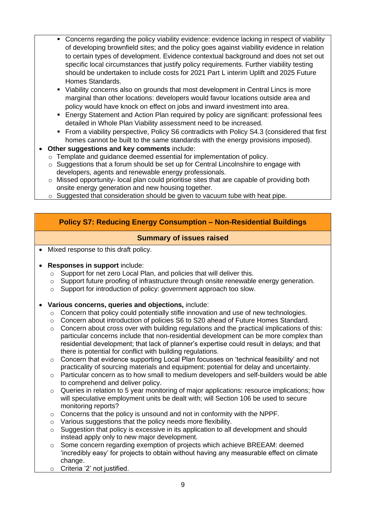- Concerns regarding the policy viability evidence: evidence lacking in respect of viability of developing brownfield sites; and the policy goes against viability evidence in relation to certain types of development. Evidence contextual background and does not set out specific local circumstances that justify policy requirements. Further viability testing should be undertaken to include costs for 2021 Part L interim Uplift and 2025 Future Homes Standards.
- Viability concerns also on grounds that most development in Central Lincs is more marginal than other locations: developers would favour locations outside area and policy would have knock on effect on jobs and inward investment into area.
- **E** Energy Statement and Action Plan required by policy are significant: professional fees detailed in Whole Plan Viability assessment need to be increased.
- **From a viability perspective, Policy S6 contradicts with Policy S4.3 (considered that first** homes cannot be built to the same standards with the energy provisions imposed).
- **Other suggestions and key comments** include:
	- o Template and guidance deemed essential for implementation of policy.
	- o Suggestions that a forum should be set up for Central Lincolnshire to engage with developers, agents and renewable energy professionals.
	- $\circ$  Missed opportunity- local plan could prioritise sites that are capable of providing both onsite energy generation and new housing together.
	- $\circ$  Suggested that consideration should be given to vacuum tube with heat pipe.

## **Policy S7: Reducing Energy Consumption – Non-Residential Buildings**

## **Summary of issues raised**

• Mixed response to this draft policy.

#### • **Responses in support** include:

- o Support for net zero Local Plan, and policies that will deliver this.
- o Support future proofing of infrastructure through onsite renewable energy generation.
- o Support for introduction of policy: government approach too slow.
- **Various concerns, queries and objections,** include:
	- o Concern that policy could potentially stifle innovation and use of new technologies.
	- o Concern about introduction of policies S6 to S20 ahead of Future Homes Standard.
	- $\circ$  Concern about cross over with building regulations and the practical implications of this: particular concerns include that non-residential development can be more complex than residential development; that lack of planner's expertise could result in delays; and that there is potential for conflict with building regulations.
	- o Concern that evidence supporting Local Plan focusses on 'technical feasibility' and not practicality of sourcing materials and equipment: potential for delay and uncertainty.
	- $\circ$  Particular concern as to how small to medium developers and self-builders would be able to comprehend and deliver policy.
	- o Queries in relation to 5 year monitoring of major applications: resource implications; how will speculative employment units be dealt with; will Section 106 be used to secure monitoring reports?
	- o Concerns that the policy is unsound and not in conformity with the NPPF.
	- o Various suggestions that the policy needs more flexibility.
	- $\circ$  Suggestion that policy is excessive in its application to all development and should instead apply only to new major development.
	- $\circ$  Some concern regarding exemption of projects which achieve BREEAM: deemed 'incredibly easy' for projects to obtain without having any measurable effect on climate change.
	- o Criteria '2' not justified.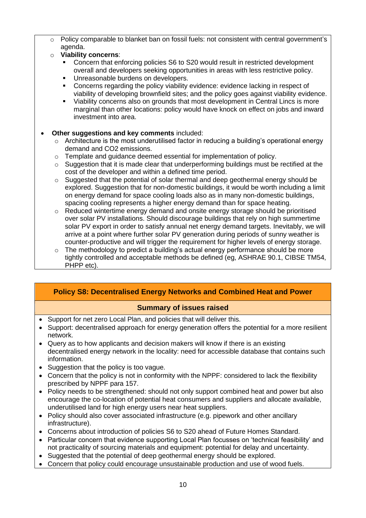o Policy comparable to blanket ban on fossil fuels: not consistent with central government's agenda.

## o **Viability concerns**:

- Concern that enforcing policies S6 to S20 would result in restricted development overall and developers seeking opportunities in areas with less restrictive policy.
- Unreasonable burdens on developers.
- Concerns regarding the policy viability evidence: evidence lacking in respect of viability of developing brownfield sites; and the policy goes against viability evidence.
- Viability concerns also on grounds that most development in Central Lincs is more marginal than other locations: policy would have knock on effect on jobs and inward investment into area.

## **Other suggestions and key comments included:**

- $\circ$  Architecture is the most underutilised factor in reducing a building's operational energy demand and CO2 emissions.
- o Template and guidance deemed essential for implementation of policy.
- $\circ$  Suggestion that it is made clear that underperforming buildings must be rectified at the cost of the developer and within a defined time period.
- $\circ$  Suggested that the potential of solar thermal and deep geothermal energy should be explored. Suggestion that for non-domestic buildings, it would be worth including a limit on energy demand for space cooling loads also as in many non-domestic buildings, spacing cooling represents a higher energy demand than for space heating.
- $\circ$  Reduced wintertime energy demand and onsite energy storage should be prioritised over solar PV installations. Should discourage buildings that rely on high summertime solar PV export in order to satisfy annual net energy demand targets. Inevitably, we will arrive at a point where further solar PV generation during periods of sunny weather is counter-productive and will trigger the requirement for higher levels of energy storage.
- $\circ$  The methodology to predict a building's actual energy performance should be more tightly controlled and acceptable methods be defined (eg, ASHRAE 90.1, CIBSE TM54, PHPP etc).

## **Policy S8: Decentralised Energy Networks and Combined Heat and Power**

- Support for net zero Local Plan, and policies that will deliver this.
- Support: decentralised approach for energy generation offers the potential for a more resilient network.
- Query as to how applicants and decision makers will know if there is an existing decentralised energy network in the locality: need for accessible database that contains such information.
- Suggestion that the policy is too vague.
- Concern that the policy is not in conformity with the NPPF: considered to lack the flexibility prescribed by NPPF para 157.
- Policy needs to be strengthened: should not only support combined heat and power but also encourage the co-location of potential heat consumers and suppliers and allocate available, underutilised land for high energy users near heat suppliers.
- Policy should also cover associated infrastructure (e.g. pipework and other ancillary infrastructure).
- Concerns about introduction of policies S6 to S20 ahead of Future Homes Standard.
- Particular concern that evidence supporting Local Plan focusses on 'technical feasibility' and not practicality of sourcing materials and equipment: potential for delay and uncertainty.
- Suggested that the potential of deep geothermal energy should be explored.
- Concern that policy could encourage unsustainable production and use of wood fuels.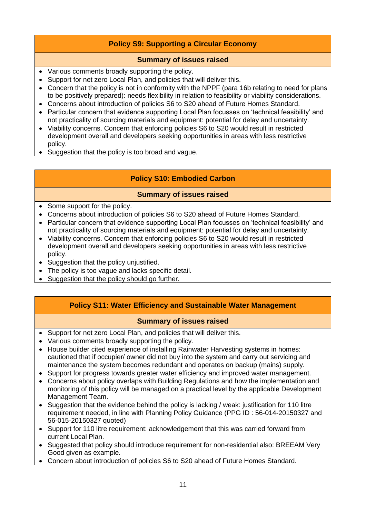## **Policy S9: Supporting a Circular Economy**

## **Summary of issues raised**

- Various comments broadly supporting the policy.
- Support for net zero Local Plan, and policies that will deliver this.
- Concern that the policy is not in conformity with the NPPF (para 16b relating to need for plans to be positively prepared): needs flexibility in relation to feasibility or viability considerations.
- Concerns about introduction of policies S6 to S20 ahead of Future Homes Standard.
- Particular concern that evidence supporting Local Plan focusses on 'technical feasibility' and not practicality of sourcing materials and equipment: potential for delay and uncertainty.
- Viability concerns. Concern that enforcing policies S6 to S20 would result in restricted development overall and developers seeking opportunities in areas with less restrictive policy.
- Suggestion that the policy is too broad and vague.

## **Policy S10: Embodied Carbon**

## **Summary of issues raised**

- Some support for the policy.
- Concerns about introduction of policies S6 to S20 ahead of Future Homes Standard.
- Particular concern that evidence supporting Local Plan focusses on 'technical feasibility' and not practicality of sourcing materials and equipment: potential for delay and uncertainty.
- Viability concerns. Concern that enforcing policies S6 to S20 would result in restricted development overall and developers seeking opportunities in areas with less restrictive policy.
- Suggestion that the policy unjustified.
- The policy is too vague and lacks specific detail.
- Suggestion that the policy should go further.

## **Policy S11: Water Efficiency and Sustainable Water Management**

- Support for net zero Local Plan, and policies that will deliver this.
- Various comments broadly supporting the policy.
- House builder cited experience of installing Rainwater Harvesting systems in homes: cautioned that if occupier/ owner did not buy into the system and carry out servicing and maintenance the system becomes redundant and operates on backup (mains) supply.
- Support for progress towards greater water efficiency and improved water management.
- Concerns about policy overlaps with Building Regulations and how the implementation and monitoring of this policy will be managed on a practical level by the applicable Development Management Team.
- Suggestion that the evidence behind the policy is lacking / weak: justification for 110 litre requirement needed, in line with Planning Policy Guidance (PPG ID : 56-014-20150327 and 56-015-20150327 quoted)
- Support for 110 litre requirement: acknowledgement that this was carried forward from current Local Plan.
- Suggested that policy should introduce requirement for non-residential also: BREEAM Very Good given as example.
- Concern about introduction of policies S6 to S20 ahead of Future Homes Standard.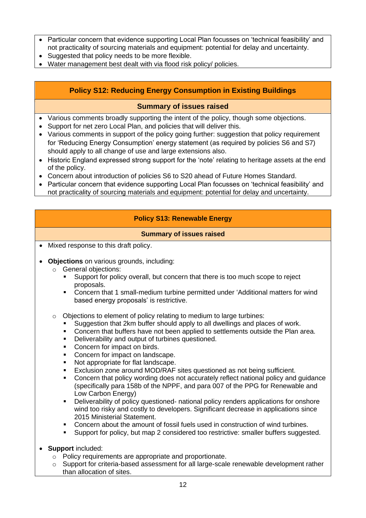- Particular concern that evidence supporting Local Plan focusses on 'technical feasibility' and not practicality of sourcing materials and equipment: potential for delay and uncertainty.
- Suggested that policy needs to be more flexible.
- Water management best dealt with via flood risk policy/ policies.

## **Policy S12: Reducing Energy Consumption in Existing Buildings**

## **Summary of issues raised**

- Various comments broadly supporting the intent of the policy, though some objections.
- Support for net zero Local Plan, and policies that will deliver this.
- Various comments in support of the policy going further: suggestion that policy requirement for 'Reducing Energy Consumption' energy statement (as required by policies S6 and S7) should apply to all change of use and large extensions also.
- Historic England expressed strong support for the 'note' relating to heritage assets at the end of the policy.
- Concern about introduction of policies S6 to S20 ahead of Future Homes Standard.
- Particular concern that evidence supporting Local Plan focusses on 'technical feasibility' and not practicality of sourcing materials and equipment: potential for delay and uncertainty.

## **Policy S13: Renewable Energy**

- Mixed response to this draft policy.
- **Objections** on various grounds, including:
	- o General objections:
		- Support for policy overall, but concern that there is too much scope to reject proposals.
		- Concern that 1 small-medium turbine permitted under 'Additional matters for wind based energy proposals' is restrictive.
	- o Objections to element of policy relating to medium to large turbines:
		- Suggestion that 2km buffer should apply to all dwellings and places of work.
		- Concern that buffers have not been applied to settlements outside the Plan area.
		- **•** Deliverability and output of turbines questioned.
		- Concern for impact on birds.
		- Concern for impact on landscape.
		- Not appropriate for flat landscape.
		- Exclusion zone around MOD/RAF sites questioned as not being sufficient.
		- Concern that policy wording does not accurately reflect national policy and guidance (specifically para 158b of the NPPF, and para 007 of the PPG for Renewable and Low Carbon Energy)
		- Deliverability of policy questioned- national policy renders applications for onshore wind too risky and costly to developers. Significant decrease in applications since 2015 Ministerial Statement.
		- Concern about the amount of fossil fuels used in construction of wind turbines.
		- Support for policy, but map 2 considered too restrictive: smaller buffers suggested.
- **Support** included:
	- o Policy requirements are appropriate and proportionate.
	- Support for criteria-based assessment for all large-scale renewable development rather than allocation of sites.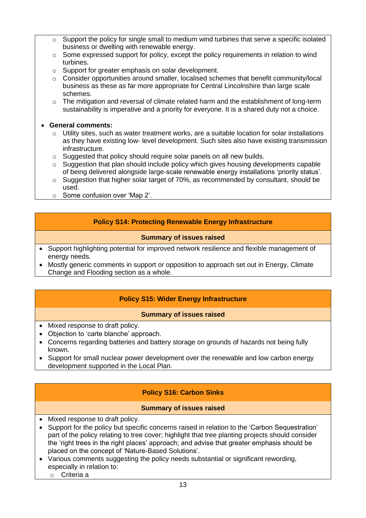- $\circ$  Support the policy for single small to medium wind turbines that serve a specific isolated business or dwelling with renewable energy.
- $\circ$  Some expressed support for policy, except the policy requirements in relation to wind turbines.
- o Support for greater emphasis on solar development.
- o Consider opportunities around smaller, localised schemes that benefit community/local business as these as far more appropriate for Central Lincolnshire than large scale schemes.
- $\circ$  The mitigation and reversal of climate related harm and the establishment of long-term sustainability is imperative and a priority for everyone. It is a shared duty not a choice.
- **General comments:**
	- $\circ$  Utility sites, such as water treatment works, are a suitable location for solar installations as they have existing low- level development. Such sites also have existing transmission infrastructure.
	- o Suggested that policy should require solar panels on all new builds.
	- $\circ$  Suggestion that plan should include policy which gives housing developments capable of being delivered alongside large-scale renewable energy installations 'priority status'.
	- o Suggestion that higher solar target of 70%, as recommended by consultant, should be used.
	- o Some confusion over 'Map 2'.

## **Policy S14: Protecting Renewable Energy Infrastructure**

#### **Summary of issues raised**

- Support highlighting potential for improved network resilience and flexible management of energy needs.
- Mostly generic comments in support or opposition to approach set out in Energy, Climate Change and Flooding section as a whole.

## **Policy S15: Wider Energy Infrastructure**

## **Summary of issues raised**

- Mixed response to draft policy.
- Objection to 'carte blanche' approach.
- Concerns regarding batteries and battery storage on grounds of hazards not being fully known.
- Support for small nuclear power development over the renewable and low carbon energy development supported in the Local Plan.

## **Policy S16: Carbon Sinks**

- Mixed response to draft policy.
- Support for the policy but specific concerns raised in relation to the 'Carbon Sequestration' part of the policy relating to tree cover; highlight that tree planting projects should consider the 'right trees in the right places' approach; and advise that greater emphasis should be placed on the concept of 'Nature-Based Solutions'.
- Various comments suggesting the policy needs substantial or significant rewording, especially in relation to:
	- o Criteria a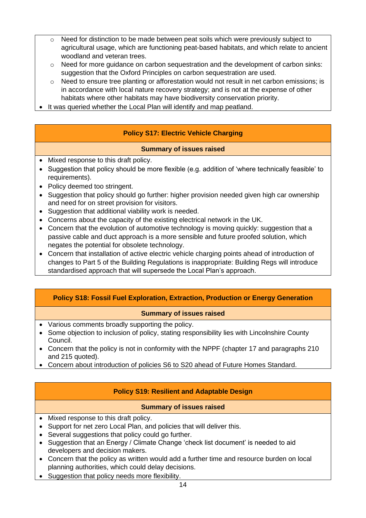- $\circ$  Need for distinction to be made between peat soils which were previously subject to agricultural usage, which are functioning peat-based habitats, and which relate to ancient woodland and veteran trees.
- o Need for more guidance on carbon sequestration and the development of carbon sinks: suggestion that the Oxford Principles on carbon sequestration are used.
- $\circ$  Need to ensure tree planting or afforestation would not result in net carbon emissions; is in accordance with local nature recovery strategy; and is not at the expense of other habitats where other habitats may have biodiversity conservation priority.
- It was queried whether the Local Plan will identify and map peatland.

## **Policy S17: Electric Vehicle Charging**

## **Summary of issues raised**

- Mixed response to this draft policy.
- Suggestion that policy should be more flexible (e.g. addition of 'where technically feasible' to requirements).
- Policy deemed too stringent.
- Suggestion that policy should go further: higher provision needed given high car ownership and need for on street provision for visitors.
- Suggestion that additional viability work is needed.
- Concerns about the capacity of the existing electrical network in the UK.
- Concern that the evolution of automotive technology is moving quickly: suggestion that a passive cable and duct approach is a more sensible and future proofed solution, which negates the potential for obsolete technology.
- Concern that installation of active electric vehicle charging points ahead of introduction of changes to Part 5 of the Building Regulations is inappropriate: Building Regs will introduce standardised approach that will supersede the Local Plan's approach.

## **Policy S18: Fossil Fuel Exploration, Extraction, Production or Energy Generation**

## **Summary of issues raised**

- Various comments broadly supporting the policy.
- Some objection to inclusion of policy, stating responsibility lies with Lincolnshire County Council.
- Concern that the policy is not in conformity with the NPPF (chapter 17 and paragraphs 210) and 215 quoted).
- Concern about introduction of policies S6 to S20 ahead of Future Homes Standard.

## **Policy S19: Resilient and Adaptable Design**

- Mixed response to this draft policy.
- Support for net zero Local Plan, and policies that will deliver this.
- Several suggestions that policy could go further.
- Suggestion that an Energy / Climate Change 'check list document' is needed to aid developers and decision makers.
- Concern that the policy as written would add a further time and resource burden on local planning authorities, which could delay decisions.
- Suggestion that policy needs more flexibility.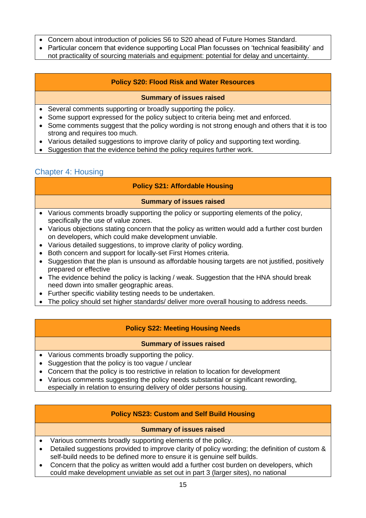- Concern about introduction of policies S6 to S20 ahead of Future Homes Standard.
- Particular concern that evidence supporting Local Plan focusses on 'technical feasibility' and not practicality of sourcing materials and equipment: potential for delay and uncertainty.

## **Policy S20: Flood Risk and Water Resources**

#### **Summary of issues raised**

- Several comments supporting or broadly supporting the policy.
- Some support expressed for the policy subject to criteria being met and enforced.
- Some comments suggest that the policy wording is not strong enough and others that it is too strong and requires too much.
- Various detailed suggestions to improve clarity of policy and supporting text wording.
- Suggestion that the evidence behind the policy requires further work.

## <span id="page-14-0"></span>Chapter 4: Housing

## **Policy S21: Affordable Housing**

#### **Summary of issues raised**

- Various comments broadly supporting the policy or supporting elements of the policy, specifically the use of value zones.
- Various objections stating concern that the policy as written would add a further cost burden on developers, which could make development unviable.
- Various detailed suggestions, to improve clarity of policy wording.
- Both concern and support for locally-set First Homes criteria.
- Suggestion that the plan is unsound as affordable housing targets are not justified, positively prepared or effective
- The evidence behind the policy is lacking / weak. Suggestion that the HNA should break need down into smaller geographic areas.
- Further specific viability testing needs to be undertaken.
- The policy should set higher standards/ deliver more overall housing to address needs.

## **Policy S22: Meeting Housing Needs**

#### **Summary of issues raised**

- Various comments broadly supporting the policy.
- Suggestion that the policy is too vague / unclear
- Concern that the policy is too restrictive in relation to location for development
- Various comments suggesting the policy needs substantial or significant rewording,
- especially in relation to ensuring delivery of older persons housing.

## **Policy NS23: Custom and Self Build Housing**

- Various comments broadly supporting elements of the policy.
- Detailed suggestions provided to improve clarity of policy wording; the definition of custom & self-build needs to be defined more to ensure it is genuine self builds.
- Concern that the policy as written would add a further cost burden on developers, which could make development unviable as set out in part 3 (larger sites), no national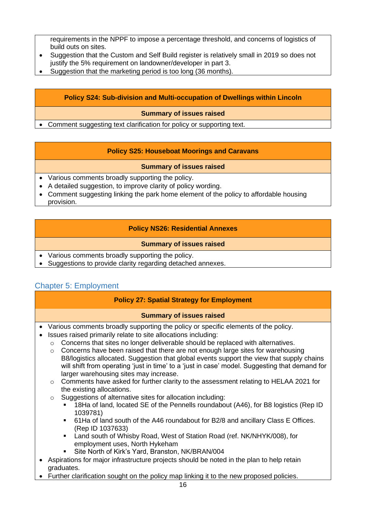requirements in the NPPF to impose a percentage threshold, and concerns of logistics of build outs on sites.

- Suggestion that the Custom and Self Build register is relatively small in 2019 so does not justify the 5% requirement on landowner/developer in part 3.
- Suggestion that the marketing period is too long (36 months).

## **Policy S24: Sub-division and Multi-occupation of Dwellings within Lincoln**

#### **Summary of issues raised**

• Comment suggesting text clarification for policy or supporting text.

## **Policy S25: Houseboat Moorings and Caravans**

#### **Summary of issues raised**

- Various comments broadly supporting the policy.
- A detailed suggestion, to improve clarity of policy wording.
- Comment suggesting linking the park home element of the policy to affordable housing provision.

## **Policy NS26: Residential Annexes**

#### **Summary of issues raised**

- Various comments broadly supporting the policy.
- Suggestions to provide clarity regarding detached annexes.

## <span id="page-15-0"></span>Chapter 5: Employment

## **Policy 27: Spatial Strategy for Employment**

- Various comments broadly supporting the policy or specific elements of the policy.
- Issues raised primarily relate to site allocations including:
	- $\circ$  Concerns that sites no longer deliverable should be replaced with alternatives.
		- $\circ$  Concerns have been raised that there are not enough large sites for warehousing B8/logistics allocated. Suggestion that global events support the view that supply chains will shift from operating 'just in time' to a 'just in case' model. Suggesting that demand for larger warehousing sites may increase.
		- $\circ$  Comments have asked for further clarity to the assessment relating to HELAA 2021 for the existing allocations.
		- o Suggestions of alternative sites for allocation including:
			- 18Ha of land, located SE of the Pennells roundabout (A46), for B8 logistics (Rep ID 1039781)
			- 61Ha of land south of the A46 roundabout for B2/8 and ancillary Class E Offices. (Rep ID 1037633)
			- Land south of Whisby Road, West of Station Road (ref. NK/NHYK/008), for employment uses, North Hykeham
				- Site North of Kirk's Yard, Branston, NK/BRAN/004
- Aspirations for major infrastructure projects should be noted in the plan to help retain graduates.
- Further clarification sought on the policy map linking it to the new proposed policies.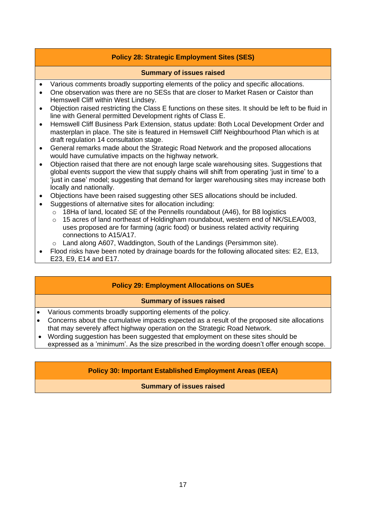## **Policy 28: Strategic Employment Sites (SES)**

#### **Summary of issues raised**

- Various comments broadly supporting elements of the policy and specific allocations.
- One observation was there are no SESs that are closer to Market Rasen or Caistor than Hemswell Cliff within West Lindsey.
- Objection raised restricting the Class E functions on these sites. It should be left to be fluid in line with General permitted Development rights of Class E.
- Hemswell Cliff Business Park Extension, status update: Both Local Development Order and masterplan in place. The site is featured in Hemswell Cliff Neighbourhood Plan which is at draft regulation 14 consultation stage.
- General remarks made about the Strategic Road Network and the proposed allocations would have cumulative impacts on the highway network.
- Objection raised that there are not enough large scale warehousing sites. Suggestions that global events support the view that supply chains will shift from operating 'just in time' to a 'just in case' model; suggesting that demand for larger warehousing sites may increase both locally and nationally.
- Objections have been raised suggesting other SES allocations should be included.
- Suggestions of alternative sites for allocation including:
	- o 18Ha of land, located SE of the Pennells roundabout (A46), for B8 logistics
		- $\circ$  15 acres of land northeast of Holdingham roundabout, western end of NK/SLEA/003, uses proposed are for farming (agric food) or business related activity requiring connections to A15/A17.
		- o Land along A607, Waddington, South of the Landings (Persimmon site).
- Flood risks have been noted by drainage boards for the following allocated sites: E2, E13, E23, E9, E14 and E17.

## **Policy 29: Employment Allocations on SUEs**

## **Summary of issues raised**

- Various comments broadly supporting elements of the policy.
- Concerns about the cumulative impacts expected as a result of the proposed site allocations that may severely affect highway operation on the Strategic Road Network.
- Wording suggestion has been suggested that employment on these sites should be expressed as a 'minimum'. As the size prescribed in the wording doesn't offer enough scope.

## **Policy 30: Important Established Employment Areas (IEEA)**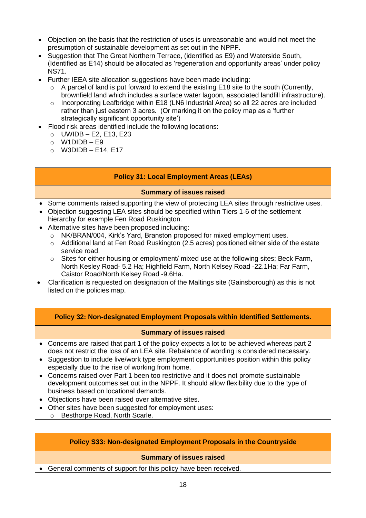- Objection on the basis that the restriction of uses is unreasonable and would not meet the presumption of sustainable development as set out in the NPPF.
- Suggestion that The Great Northern Terrace, (identified as E9) and Waterside South, (Identified as E14) should be allocated as 'regeneration and opportunity areas' under policy NS71.
- Further IEEA site allocation suggestions have been made including:
	- o A parcel of land is put forward to extend the existing E18 site to the south (Currently, brownfield land which includes a surface water lagoon, associated landfill infrastructure).
	- o Incorporating Leafbridge within E18 (LN6 Industrial Area) so all 22 acres are included rather than just eastern 3 acres. (Or marking it on the policy map as a 'further strategically significant opportunity site')
- Flood risk areas identified include the following locations:
	- $\circ$  UWIDB E2, E13, E23
	- $o$  W1DIDB E9
	- $\circ$  W3DIDB E14, E17

#### **Policy 31: Local Employment Areas (LEAs)**

#### **Summary of issues raised**

- Some comments raised supporting the view of protecting LEA sites through restrictive uses.
- Objection suggesting LEA sites should be specified within Tiers 1-6 of the settlement hierarchy for example Fen Road Ruskington.
- Alternative sites have been proposed including:
	- o NK/BRAN/004, Kirk's Yard, Branston proposed for mixed employment uses.
	- o Additional land at Fen Road Ruskington (2.5 acres) positioned either side of the estate service road.
	- $\circ$  Sites for either housing or employment/ mixed use at the following sites; Beck Farm, North Kesley Road- 5.2 Ha; Highfield Farm, North Kelsey Road -22.1Ha; Far Farm, Caistor Road/North Kelsey Road -9.6Ha.
- Clarification is requested on designation of the Maltings site (Gainsborough) as this is not listed on the policies map.

#### **Policy 32: Non-designated Employment Proposals within Identified Settlements.**

#### **Summary of issues raised**

- Concerns are raised that part 1 of the policy expects a lot to be achieved whereas part 2 does not restrict the loss of an LEA site. Rebalance of wording is considered necessary.
- Suggestion to include live/work type employment opportunities position within this policy especially due to the rise of working from home.
- Concerns raised over Part 1 been too restrictive and it does not promote sustainable development outcomes set out in the NPPF. It should allow flexibility due to the type of business based on locational demands.
- Objections have been raised over alternative sites.
- Other sites have been suggested for employment uses:
	- o Besthorpe Road, North Scarle.

## **Policy S33: Non-designated Employment Proposals in the Countryside**

#### **Summary of issues raised**

• General comments of support for this policy have been received.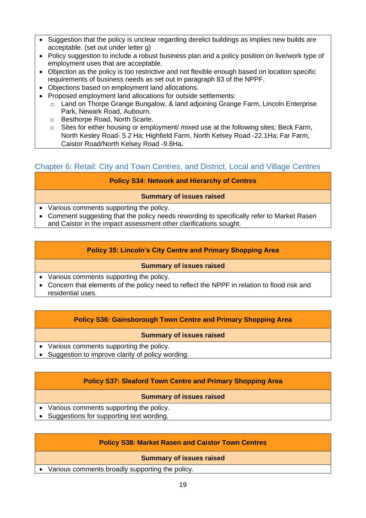- Suggestion that the policy is unclear regarding derelict buildings as implies new builds are acceptable. (set out under letter g)
- Policy suggestion to include a robust business plan and a policy position on live/work type of employment uses that are acceptable.
- Objection as the policy is too restrictive and not flexible enough based on location specific requirements of business needs as set out in paragraph 83 of the NPPF.
- Objections based on employment land allocations.
- Proposed employment land allocations for outside settlements:
	- $\circ$  Land on Thorpe Grange Bungalow, & land adjoining Grange Farm, Lincoln Enterprise Park, Newark Road, Aubourn.
	- o Besthorpe Road, North Scarle.
	- $\circ$  Sites for either housing or employment/ mixed use at the following sites; Beck Farm, North Kesley Road- 5.2 Ha; Highfield Farm, North Kelsey Road -22.1Ha; Far Farm, Caistor Road/North Kelsey Road -9.6Ha.

## <span id="page-18-0"></span>Chapter 6: Retail: City and Town Centres, and District, Local and Village Centres

## **Policy S34: Network and Hierarchy of Centres**

## **Summary of issues raised**

- Various comments supporting the policy.
- Comment suggesting that the policy needs rewording to specifically refer to Market Rasen and Caistor in the impact assessment other clarifications sought.

## **Policy 35: Lincoln's City Centre and Primary Shopping Area**

#### **Summary of issues raised**

- Various comments supporting the policy.
- Concern that elements of the policy need to reflect the NPPF in relation to flood risk and residential uses.

## **Policy S36: Gainsborough Town Centre and Primary Shopping Area**

#### **Summary of issues raised**

- Various comments supporting the policy.
- Suggestion to improve clarity of policy wording.

## **Policy S37: Sleaford Town Centre and Primary Shopping Area**

## **Summary of issues raised**

- Various comments supporting the policy.
- Suggestions for supporting text wording.

## **Policy S38: Market Rasen and Caistor Town Centres**

#### **Summary of issues raised**

• Various comments broadly supporting the policy.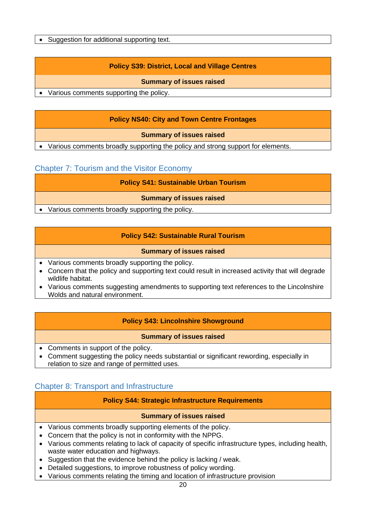• Suggestion for additional supporting text.

## **Policy S39: District, Local and Village Centres**

#### **Summary of issues raised**

• Various comments supporting the policy.

## **Policy NS40: City and Town Centre Frontages**

**Summary of issues raised**

• Various comments broadly supporting the policy and strong support for elements.

## <span id="page-19-0"></span>Chapter 7: Tourism and the Visitor Economy

**Policy S41: Sustainable Urban Tourism**

**Summary of issues raised**

• Various comments broadly supporting the policy.

#### **Policy S42: Sustainable Rural Tourism**

#### **Summary of issues raised**

- Various comments broadly supporting the policy.
- Concern that the policy and supporting text could result in increased activity that will degrade wildlife habitat.
- Various comments suggesting amendments to supporting text references to the Lincolnshire Wolds and natural environment.

## **Policy S43: Lincolnshire Showground**

#### **Summary of issues raised**

- Comments in support of the policy.
- Comment suggesting the policy needs substantial or significant rewording, especially in relation to size and range of permitted uses.

## <span id="page-19-1"></span>Chapter 8: Transport and Infrastructure

#### **Policy S44: Strategic Infrastructure Requirements**

- Various comments broadly supporting elements of the policy.
- Concern that the policy is not in conformity with the NPPG.
- Various comments relating to lack of capacity of specific infrastructure types, including health, waste water education and highways.
- Suggestion that the evidence behind the policy is lacking / weak.
- Detailed suggestions, to improve robustness of policy wording.
- Various comments relating the timing and location of infrastructure provision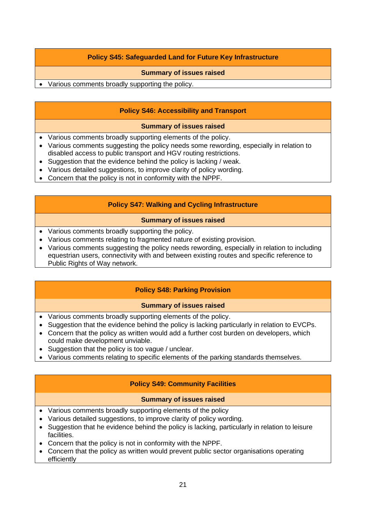## **Policy S45: Safeguarded Land for Future Key Infrastructure**

#### **Summary of issues raised**

• Various comments broadly supporting the policy.

## **Policy S46: Accessibility and Transport**

#### **Summary of issues raised**

- Various comments broadly supporting elements of the policy.
- Various comments suggesting the policy needs some rewording, especially in relation to disabled access to public transport and HGV routing restrictions.
- Suggestion that the evidence behind the policy is lacking / weak.
- Various detailed suggestions, to improve clarity of policy wording.
- Concern that the policy is not in conformity with the NPPF.

#### **Policy S47: Walking and Cycling Infrastructure**

#### **Summary of issues raised**

- Various comments broadly supporting the policy.
- Various comments relating to fragmented nature of existing provision.
- Various comments suggesting the policy needs rewording, especially in relation to including equestrian users, connectivity with and between existing routes and specific reference to Public Rights of Way network.

## **Policy S48: Parking Provision**

#### **Summary of issues raised**

- Various comments broadly supporting elements of the policy.
- Suggestion that the evidence behind the policy is lacking particularly in relation to EVCPs.
- Concern that the policy as written would add a further cost burden on developers, which could make development unviable.
- Suggestion that the policy is too vague / unclear.
- Various comments relating to specific elements of the parking standards themselves.

## **Policy S49: Community Facilities**

- Various comments broadly supporting elements of the policy
- Various detailed suggestions, to improve clarity of policy wording.
- Suggestion that he evidence behind the policy is lacking, particularly in relation to leisure facilities.
- Concern that the policy is not in conformity with the NPPF.
- Concern that the policy as written would prevent public sector organisations operating efficiently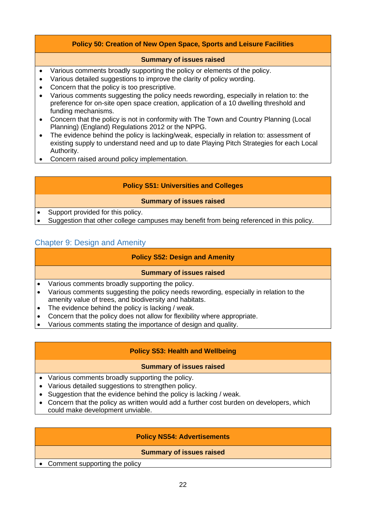## **Policy 50: Creation of New Open Space, Sports and Leisure Facilities**

#### **Summary of issues raised**

- Various comments broadly supporting the policy or elements of the policy.
- Various detailed suggestions to improve the clarity of policy wording.
- Concern that the policy is too prescriptive.
- Various comments suggesting the policy needs rewording, especially in relation to: the preference for on-site open space creation, application of a 10 dwelling threshold and funding mechanisms.
- Concern that the policy is not in conformity with The Town and Country Planning (Local Planning) (England) Regulations 2012 or the NPPG.
- The evidence behind the policy is lacking/weak, especially in relation to: assessment of existing supply to understand need and up to date Playing Pitch Strategies for each Local Authority.
- Concern raised around policy implementation.

## **Policy S51: Universities and Colleges**

#### **Summary of issues raised**

• Support provided for this policy.

• Suggestion that other college campuses may benefit from being referenced in this policy.

## <span id="page-21-0"></span>Chapter 9: Design and Amenity

## **Policy S52: Design and Amenity**

#### **Summary of issues raised**

- Various comments broadly supporting the policy.
- Various comments suggesting the policy needs rewording, especially in relation to the amenity value of trees, and biodiversity and habitats.
- The evidence behind the policy is lacking / weak.
- Concern that the policy does not allow for flexibility where appropriate.
- Various comments stating the importance of design and quality.

## **Policy S53: Health and Wellbeing**

#### **Summary of issues raised**

- Various comments broadly supporting the policy.
- Various detailed suggestions to strengthen policy.
- Suggestion that the evidence behind the policy is lacking / weak.
- Concern that the policy as written would add a further cost burden on developers, which could make development unviable.

#### **Policy NS54: Advertisements**

#### **Summary of issues raised**

• Comment supporting the policy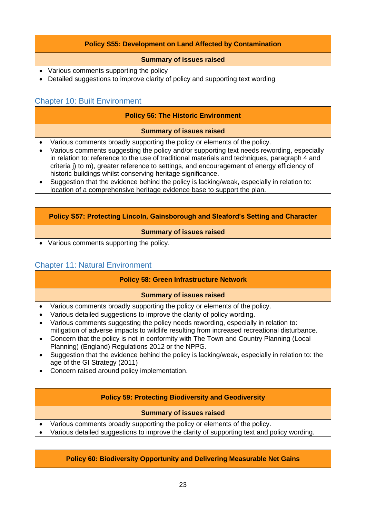## **Policy S55: Development on Land Affected by Contamination**

#### **Summary of issues raised**

- Various comments supporting the policy
- Detailed suggestions to improve clarity of policy and supporting text wording

## <span id="page-22-0"></span>Chapter 10: Built Environment

#### **Policy 56: The Historic Environment**

#### **Summary of issues raised**

- Various comments broadly supporting the policy or elements of the policy.
- Various comments suggesting the policy and/or supporting text needs rewording, especially in relation to: reference to the use of traditional materials and techniques, paragraph 4 and criteria j) to m), greater reference to settings, and encouragement of energy efficiency of historic buildings whilst conserving heritage significance.
- Suggestion that the evidence behind the policy is lacking/weak, especially in relation to: location of a comprehensive heritage evidence base to support the plan.

#### **Policy S57: Protecting Lincoln, Gainsborough and Sleaford's Setting and Character**

#### **Summary of issues raised**

• Various comments supporting the policy.

## <span id="page-22-1"></span>Chapter 11: Natural Environment

#### **Policy 58: Green Infrastructure Network**

#### **Summary of issues raised**

- Various comments broadly supporting the policy or elements of the policy.
- Various detailed suggestions to improve the clarity of policy wording.
- Various comments suggesting the policy needs rewording, especially in relation to: mitigation of adverse impacts to wildlife resulting from increased recreational disturbance.
- Concern that the policy is not in conformity with The Town and Country Planning (Local Planning) (England) Regulations 2012 or the NPPG.
- Suggestion that the evidence behind the policy is lacking/weak, especially in relation to: the age of the GI Strategy (2011)
- Concern raised around policy implementation.

#### **Policy 59: Protecting Biodiversity and Geodiversity**

#### **Summary of issues raised**

- Various comments broadly supporting the policy or elements of the policy.
- Various detailed suggestions to improve the clarity of supporting text and policy wording.

#### **Policy 60: Biodiversity Opportunity and Delivering Measurable Net Gains**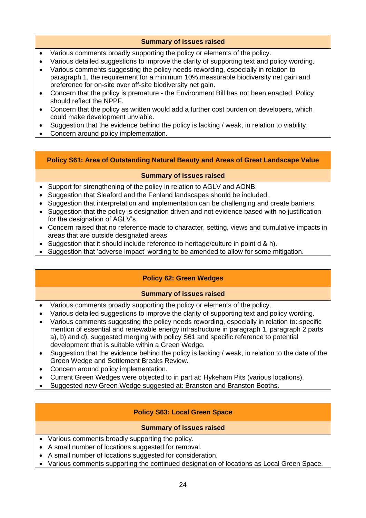## **Summary of issues raised**

- Various comments broadly supporting the policy or elements of the policy.
- Various detailed suggestions to improve the clarity of supporting text and policy wording.
- Various comments suggesting the policy needs rewording, especially in relation to paragraph 1, the requirement for a minimum 10% measurable biodiversity net gain and preference for on-site over off-site biodiversity net gain.
- Concern that the policy is premature the Environment Bill has not been enacted. Policy should reflect the NPPF.
- Concern that the policy as written would add a further cost burden on developers, which could make development unviable.
- Suggestion that the evidence behind the policy is lacking / weak, in relation to viability.
- Concern around policy implementation.

## **Policy S61: Area of Outstanding Natural Beauty and Areas of Great Landscape Value**

#### **Summary of issues raised**

- Support for strengthening of the policy in relation to AGLV and AONB.
- Suggestion that Sleaford and the Fenland landscapes should be included.
- Suggestion that interpretation and implementation can be challenging and create barriers.
- Suggestion that the policy is designation driven and not evidence based with no justification for the designation of AGLV's.
- Concern raised that no reference made to character, setting, views and cumulative impacts in areas that are outside designated areas.
- Suggestion that it should include reference to heritage/culture in point  $d \& h$ ).
- Suggestion that 'adverse impact' wording to be amended to allow for some mitigation.

## **Policy 62: Green Wedges**

## **Summary of issues raised**

- Various comments broadly supporting the policy or elements of the policy.
- Various detailed suggestions to improve the clarity of supporting text and policy wording.
- Various comments suggesting the policy needs rewording, especially in relation to: specific mention of essential and renewable energy infrastructure in paragraph 1, paragraph 2 parts a), b) and d), suggested merging with policy S61 and specific reference to potential development that is suitable within a Green Wedge.
- Suggestion that the evidence behind the policy is lacking / weak, in relation to the date of the Green Wedge and Settlement Breaks Review.
- Concern around policy implementation.
- Current Green Wedges were objected to in part at: Hykeham Pits (various locations).
- Suggested new Green Wedge suggested at: Branston and Branston Booths.

## **Policy S63: Local Green Space**

- Various comments broadly supporting the policy.
- A small number of locations suggested for removal.
- A small number of locations suggested for consideration.
- Various comments supporting the continued designation of locations as Local Green Space.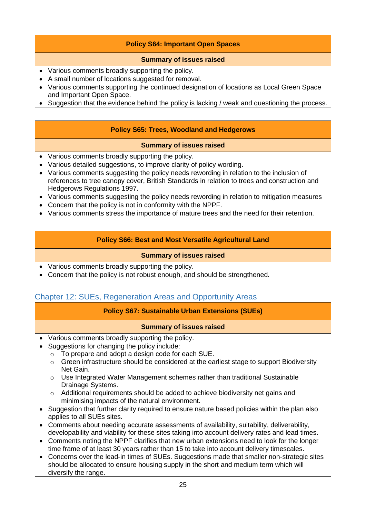## **Policy S64: Important Open Spaces**

## **Summary of issues raised**

- Various comments broadly supporting the policy.
- A small number of locations suggested for removal.
- Various comments supporting the continued designation of locations as Local Green Space and Important Open Space.
- Suggestion that the evidence behind the policy is lacking / weak and questioning the process.

## **Policy S65: Trees, Woodland and Hedgerows**

#### **Summary of issues raised**

- Various comments broadly supporting the policy.
- Various detailed suggestions, to improve clarity of policy wording.
- Various comments suggesting the policy needs rewording in relation to the inclusion of references to tree canopy cover, British Standards in relation to trees and construction and Hedgerows Regulations 1997.
- Various comments suggesting the policy needs rewording in relation to mitigation measures
- Concern that the policy is not in conformity with the NPPF.
- Various comments stress the importance of mature trees and the need for their retention.

## **Policy S66: Best and Most Versatile Agricultural Land**

#### **Summary of issues raised**

- Various comments broadly supporting the policy.
- Concern that the policy is not robust enough, and should be strengthened.

## <span id="page-24-0"></span>Chapter 12: SUEs, Regeneration Areas and Opportunity Areas

## **Policy S67: Sustainable Urban Extensions (SUEs)**

- Various comments broadly supporting the policy.
- Suggestions for changing the policy include:
	- o To prepare and adopt a design code for each SUE.
	- o Green infrastructure should be considered at the earliest stage to support Biodiversity Net Gain.
	- $\circ$  Use Integrated Water Management schemes rather than traditional Sustainable Drainage Systems.
	- o Additional requirements should be added to achieve biodiversity net gains and minimising impacts of the natural environment.
- Suggestion that further clarity required to ensure nature based policies within the plan also applies to all SUEs sites.
- Comments about needing accurate assessments of availability, suitability, deliverability, developability and viability for these sites taking into account delivery rates and lead times.
- Comments noting the NPPF clarifies that new urban extensions need to look for the longer time frame of at least 30 years rather than 15 to take into account delivery timescales.
- Concerns over the lead-in times of SUEs. Suggestions made that smaller non-strategic sites should be allocated to ensure housing supply in the short and medium term which will diversify the range.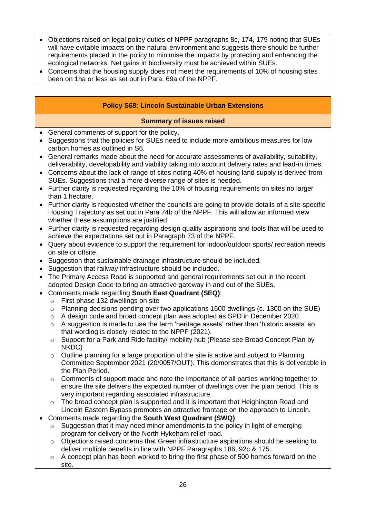- Objections raised on legal policy duties of NPPF paragraphs 8c, 174, 179 noting that SUEs will have evitable impacts on the natural environment and suggests there should be further requirements placed in the policy to minimise the impacts by protecting and enhancing the ecological networks. Net gains in biodiversity must be achieved within SUEs.
- Concerns that the housing supply does not meet the requirements of 10% of housing sites been on 1ha or less as set out in Para. 69a of the NPPF.

## **Policy S68: Lincoln Sustainable Urban Extensions**

- General comments of support for the policy.
- Suggestions that the policies for SUEs need to include more ambitious measures for low carbon homes as outlined in S6.
- General remarks made about the need for accurate assessments of availability, suitability, deliverability, developability and viability taking into account delivery rates and lead-in times.
- Concerns about the lack of range of sites noting 40% of housing land supply is derived from SUEs. Suggestions that a more diverse range of sites is needed.
- Further clarity is requested regarding the 10% of housing requirements on sites no larger than 1 hectare.
- Further clarity is requested whether the councils are going to provide details of a site-specific Housing Trajectory as set out in Para 74b of the NPPF. This will allow an informed view whether these assumptions are justified.
- Further clarity is requested regarding design quality aspirations and tools that will be used to achieve the expectations set out in Paragraph 73 of the NPPF.
- Query about evidence to support the requirement for indoor/outdoor sports/ recreation needs on site or offsite.
- Suggestion that sustainable drainage infrastructure should be included.
- Suggestion that railway infrastructure should be included.
- The Primary Access Road is supported and general requirements set out in the recent adopted Design Code to bring an attractive gateway in and out of the SUEs.
- Comments made regarding **South East Quadrant (SEQ)**:
	- o First phase 132 dwellings on site
	- $\circ$  Planning decisions pending over two applications 1600 dwellings (c. 1300 on the SUE)
	- o A design code and broad concept plan was adopted as SPD in December 2020.
	- A suggestion is made to use the term 'heritage assets' rather than 'historic assets' so that wording is closely related to the NPPF (2021).
	- o Support for a Park and Ride facility/ mobility hub (Please see Broad Concept Plan by NKDC)
	- o Outline planning for a large proportion of the site is active and subject to Planning Committee September 2021 (20/0057/OUT). This demonstrates that this is deliverable in the Plan Period.
	- o Comments of support made and note the importance of all parties working together to ensure the site delivers the expected number of dwellings over the plan period. This is very important regarding associated infrastructure.
	- $\circ$  The broad concept plan is supported and it is important that Heighington Road and Lincoln Eastern Bypass promotes an attractive frontage on the approach to Lincoln.
- Comments made regarding the **South West Quadrant (SWQ)**:
	- $\circ$  Suggestion that it may need minor amendments to the policy in light of emerging program for delivery of the North Hykeham relief road.
	- o Objections raised concerns that Green infrastructure aspirations should be seeking to deliver multiple benefits in line with NPPF Paragraphs 186, 92c & 175.
	- A concept plan has been worked to bring the first phase of 500 homes forward on the site.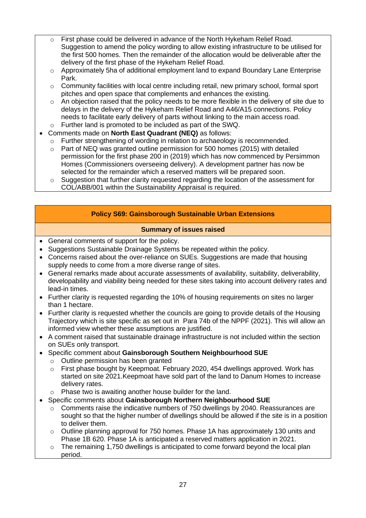- o First phase could be delivered in advance of the North Hykeham Relief Road. Suggestion to amend the policy wording to allow existing infrastructure to be utilised for the first 500 homes. Then the remainder of the allocation would be deliverable after the delivery of the first phase of the Hykeham Relief Road.
- o Approximately 5ha of additional employment land to expand Boundary Lane Enterprise Park.
- $\circ$  Community facilities with local centre including retail, new primary school, formal sport pitches and open space that complements and enhances the existing.
- $\circ$  An objection raised that the policy needs to be more flexible in the delivery of site due to delays in the delivery of the Hykeham Relief Road and A46/A15 connections. Policy needs to facilitate early delivery of parts without linking to the main access road.
- o Further land is promoted to be included as part of the SWQ.
- Comments made on **North East Quadrant (NEQ)** as follows:
	- o Further strengthening of wording in relation to archaeology is recommended.
	- Part of NEQ was granted outline permission for 500 homes (2015) with detailed permission for the first phase 200 in (2019) which has now commenced by Persimmon Homes (Commissioners overseeing delivery). A development partner has now be selected for the remainder which a reserved matters will be prepared soon.
	- $\circ$  Suggestion that further clarity requested regarding the location of the assessment for COL/ABB/001 within the Sustainability Appraisal is required.

## **Policy S69: Gainsborough Sustainable Urban Extensions**

- General comments of support for the policy.
- Suggestions Sustainable Drainage Systems be repeated within the policy.
- Concerns raised about the over-reliance on SUEs. Suggestions are made that housing supply needs to come from a more diverse range of sites.
- General remarks made about accurate assessments of availability, suitability, deliverability, developability and viability being needed for these sites taking into account delivery rates and lead-in times.
- Further clarity is requested regarding the 10% of housing requirements on sites no larger than 1 hectare.
- Further clarity is requested whether the councils are going to provide details of the Housing Trajectory which is site specific as set out in Para 74b of the NPPF (2021). This will allow an informed view whether these assumptions are justified.
- A comment raised that sustainable drainage infrastructure is not included within the section on SUEs only transport.
- Specific comment about **Gainsborough Southern Neighbourhood SUE**
	- o Outline permission has been granted
	- o First phase bought by Keepmoat. February 2020, 454 dwellings approved. Work has started on site 2021.Keepmoat have sold part of the land to Danum Homes to increase delivery rates.
	- o Phase two is awaiting another house builder for the land.
- Specific comments about **Gainsborough Northern Neighbourhood SUE**
	- Comments raise the indicative numbers of 750 dwellings by 2040. Reassurances are sought so that the higher number of dwellings should be allowed if the site is in a position to deliver them.
	- $\circ$  Outline planning approval for 750 homes. Phase 1A has approximately 130 units and Phase 1B 620. Phase 1A is anticipated a reserved matters application in 2021.
	- $\circ$  The remaining 1,750 dwellings is anticipated to come forward beyond the local plan period.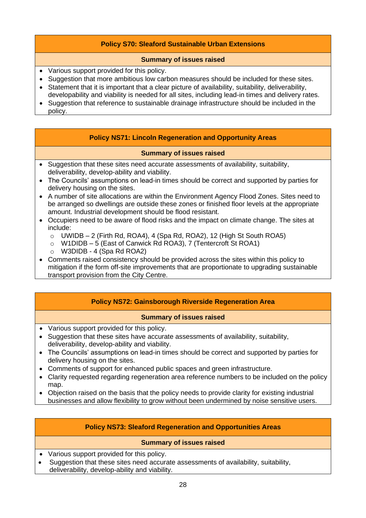## **Policy S70: Sleaford Sustainable Urban Extensions**

#### **Summary of issues raised**

- Various support provided for this policy.
- Suggestion that more ambitious low carbon measures should be included for these sites.
- Statement that it is important that a clear picture of availability, suitability, deliverability, developability and viability is needed for all sites, including lead-in times and delivery rates.
- Suggestion that reference to sustainable drainage infrastructure should be included in the policy.

#### **Policy NS71: Lincoln Regeneration and Opportunity Areas**

#### **Summary of issues raised**

- Suggestion that these sites need accurate assessments of availability, suitability, deliverability, develop-ability and viability.
- The Councils' assumptions on lead-in times should be correct and supported by parties for delivery housing on the sites.
- A number of site allocations are within the Environment Agency Flood Zones. Sites need to be arranged so dwellings are outside these zones or finished floor levels at the appropriate amount. Industrial development should be flood resistant.
- Occupiers need to be aware of flood risks and the impact on climate change. The sites at include:
	- $\circ$  UWIDB 2 (Firth Rd, ROA4), 4 (Spa Rd, ROA2), 12 (High St South ROA5)
	- o W1DIDB 5 (East of Canwick Rd ROA3), 7 (Tentercroft St ROA1)
	- o W3DIDB 4 (Spa Rd ROA2)
- Comments raised consistency should be provided across the sites within this policy to mitigation if the form off-site improvements that are proportionate to upgrading sustainable transport provision from the City Centre.

## **Policy NS72: Gainsborough Riverside Regeneration Area**

#### **Summary of issues raised**

- Various support provided for this policy.
- Suggestion that these sites have accurate assessments of availability, suitability, deliverability, develop-ability and viability.
- The Councils' assumptions on lead-in times should be correct and supported by parties for delivery housing on the sites.
- Comments of support for enhanced public spaces and green infrastructure.
- Clarity requested regarding regeneration area reference numbers to be included on the policy map.
- Objection raised on the basis that the policy needs to provide clarity for existing industrial businesses and allow flexibility to grow without been undermined by noise sensitive users.

## **Policy NS73: Sleaford Regeneration and Opportunities Areas**

- Various support provided for this policy.
- Suggestion that these sites need accurate assessments of availability, suitability, deliverability, develop-ability and viability.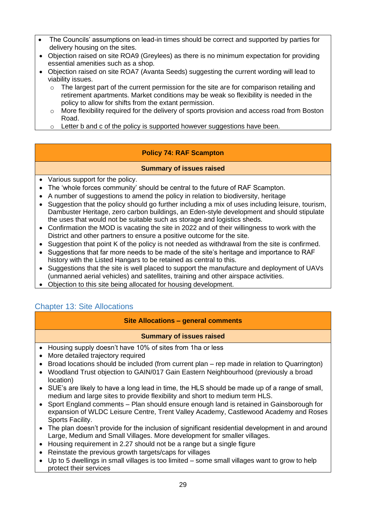- The Councils' assumptions on lead-in times should be correct and supported by parties for delivery housing on the sites.
- Objection raised on site ROA9 (Greylees) as there is no minimum expectation for providing essential amenities such as a shop.
- Objection raised on site ROA7 (Avanta Seeds) suggesting the current wording will lead to viability issues.
	- o The largest part of the current permission for the site are for comparison retailing and retirement apartments. Market conditions may be weak so flexibility is needed in the policy to allow for shifts from the extant permission.
	- $\circ$  More flexibility required for the delivery of sports provision and access road from Boston Road.
	- $\circ$  Letter b and c of the policy is supported however suggestions have been.

## **Policy 74: RAF Scampton**

## **Summary of issues raised**

- Various support for the policy.
- The 'whole forces community' should be central to the future of RAF Scampton.
- A number of suggestions to amend the policy in relation to biodiversity, heritage
- Suggestion that the policy should go further including a mix of uses including leisure, tourism, Dambuster Heritage, zero carbon buildings, an Eden-style development and should stipulate the uses that would not be suitable such as storage and logistics sheds.
- Confirmation the MOD is vacating the site in 2022 and of their willingness to work with the District and other partners to ensure a positive outcome for the site.
- Suggestion that point K of the policy is not needed as withdrawal from the site is confirmed.
- Suggestions that far more needs to be made of the site's heritage and importance to RAF history with the Listed Hangars to be retained as central to this.
- Suggestions that the site is well placed to support the manufacture and deployment of UAVs (unmanned aerial vehicles) and satellites, training and other airspace activities.
- Objection to this site being allocated for housing development.

## <span id="page-28-0"></span>Chapter 13: Site Allocations

## **Site Allocations – general comments**

- Housing supply doesn't have 10% of sites from 1ha or less
- More detailed trajectory required
- Broad locations should be included (from current plan rep made in relation to Quarrington)
- Woodland Trust objection to GAIN/017 Gain Eastern Neighbourhood (previously a broad location)
- SUE's are likely to have a long lead in time, the HLS should be made up of a range of small, medium and large sites to provide flexibility and short to medium term HLS.
- Sport England comments Plan should ensure enough land is retained in Gainsborough for expansion of WLDC Leisure Centre, Trent Valley Academy, Castlewood Academy and Roses Sports Facility.
- The plan doesn't provide for the inclusion of significant residential development in and around Large, Medium and Small Villages. More development for smaller villages.
- Housing requirement in 2.27 should not be a range but a single figure
- Reinstate the previous growth targets/caps for villages
- Up to 5 dwellings in small villages is too limited some small villages want to grow to help protect their services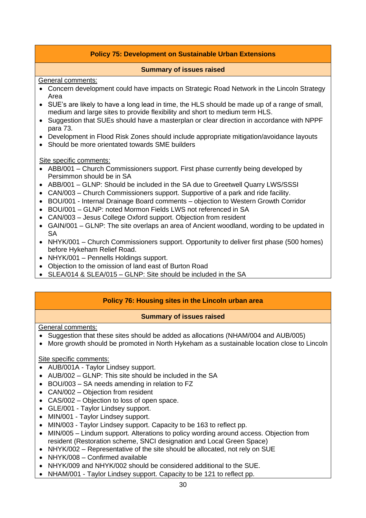## **Policy 75: Development on Sustainable Urban Extensions**

#### **Summary of issues raised**

<span id="page-29-0"></span>General comments:

- Concern development could have impacts on Strategic Road Network in the Lincoln Strategy Area
- SUE's are likely to have a long lead in time, the HLS should be made up of a range of small, medium and large sites to provide flexibility and short to medium term HLS.
- Suggestion that SUEs should have a masterplan or clear direction in accordance with NPPF para 73.
- Development in Flood Risk Zones should include appropriate mitigation/avoidance layouts
- Should be more orientated towards SME builders

Site specific comments:

- ABB/001 Church Commissioners support. First phase currently being developed by Persimmon should be in SA
- ABB/001 GLNP: Should be included in the SA due to Greetwell Quarry LWS/SSSI
- CAN/003 Church Commissioners support. Supportive of a park and ride facility.
- BOU/001 Internal Drainage Board comments objection to Western Growth Corridor
- BOU/001 GLNP: noted Mormon Fields LWS not referenced in SA
- CAN/003 Jesus College Oxford support. Objection from resident
- GAIN/001 GLNP: The site overlaps an area of Ancient woodland, wording to be updated in SA
- NHYK/001 Church Commissioners support. Opportunity to deliver first phase (500 homes) before Hykeham Relief Road.
- NHYK/001 Pennells Holdings support.
- Objection to the omission of land east of Burton Road
- SLEA/014 & SLEA/015 GLNP: Site should be included in the SA

#### **Policy 76: Housing sites in the Lincoln urban area**

#### **Summary of issues raised**

General comments:

- Suggestion that these sites should be added as allocations (NHAM/004 and AUB/005)
- More growth should be promoted in North Hykeham as a sustainable location close to Lincoln

#### Site specific comments:

- AUB/001A Taylor Lindsey support.
- AUB/002 GLNP: This site should be included in the SA
- BOU/003 SA needs amending in relation to FZ
- CAN/002 Objection from resident
- CAS/002 Objection to loss of open space.
- GLE/001 Taylor Lindsey support.
- MIN/001 Taylor Lindsey support.
- MIN/003 Taylor Lindsey support. Capacity to be 163 to reflect pp.
- MIN/005 Lindum support. Alterations to policy wording around access. Objection from resident (Restoration scheme, SNCI designation and Local Green Space)
- NHYK/002 Representative of the site should be allocated, not rely on SUE
- NHYK/008 Confirmed available
- NHYK/009 and NHYK/002 should be considered additional to the SUE.
- NHAM/001 Taylor Lindsey support. Capacity to be 121 to reflect pp.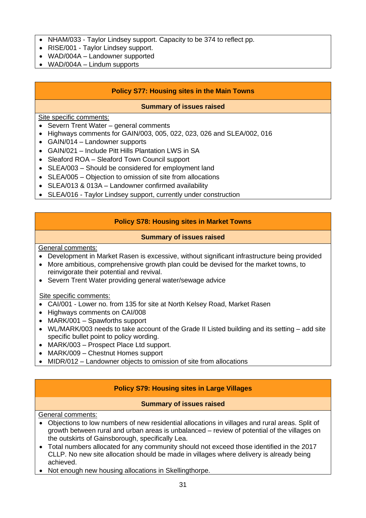- NHAM/033 Taylor Lindsey support. Capacity to be 374 to reflect pp.
- RISE/001 Taylor Lindsey support.
- WAD/004A Landowner supported
- WAD/004A Lindum supports

#### **Policy S77: Housing sites in the Main Towns**

#### **Summary of issues raised**

Site specific comments:

- Severn Trent Water general comments
- Highways comments for GAIN/003, 005, 022, 023, 026 and SLEA/002, 016
- GAIN/014 Landowner supports
- GAIN/021 Include Pitt Hills Plantation LWS in SA
- Sleaford ROA Sleaford Town Council support
- SLEA/003 Should be considered for employment land
- SLEA/005 Objection to omission of site from allocations
- SLEA/013 & 013A Landowner confirmed availability
- SLEA/016 Taylor Lindsey support, currently under construction

## **Policy S78: Housing sites in Market Towns**

#### **Summary of issues raised**

General comments:

- Development in Market Rasen is excessive, without significant infrastructure being provided
- More ambitious, comprehensive growth plan could be devised for the market towns, to reinvigorate their potential and revival.
- Severn Trent Water providing general water/sewage advice

#### Site specific comments:

- CAI/001 Lower no. from 135 for site at North Kelsey Road, Market Rasen
- Highways comments on CAI/008
- MARK/001 Spawforths support
- WL/MARK/003 needs to take account of the Grade II Listed building and its setting add site specific bullet point to policy wording.
- MARK/003 Prospect Place Ltd support.
- MARK/009 Chestnut Homes support
- MIDR/012 Landowner objects to omission of site from allocations

## **Policy S79: Housing sites in Large Villages**

#### **Summary of issues raised**

General comments:

- Objections to low numbers of new residential allocations in villages and rural areas. Split of growth between rural and urban areas is unbalanced – review of potential of the villages on the outskirts of Gainsborough, specifically Lea.
- Total numbers allocated for any community should not exceed those identified in the 2017 CLLP. No new site allocation should be made in villages where delivery is already being achieved.
- Not enough new housing allocations in Skellingthorpe.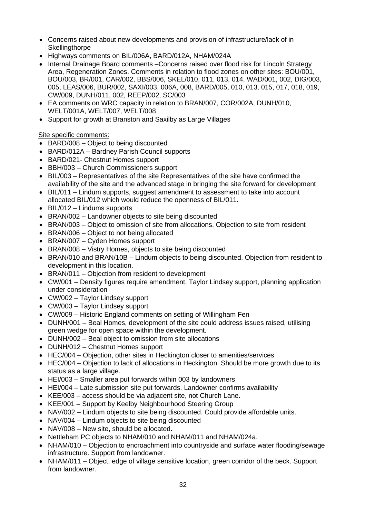- Concerns raised about new developments and provision of infrastructure/lack of in **Skellingthorpe**
- Highways comments on BIL/006A, BARD/012A, NHAM/024A
- Internal Drainage Board comments Concerns raised over flood risk for Lincoln Strategy Area, Regeneration Zones. Comments in relation to flood zones on other sites: BOU/001, BOU/003, BR/001, CAR/002, BBS/006, SKEL/010, 011, 013, 014, WAD/001, 002, DIG/003, 005, LEAS/006, BUR/002, SAXI/003, 006A, 008, BARD/005, 010, 013, 015, 017, 018, 019, CW/009, DUNH/011, 002, REEP/002, SC/003
- EA comments on WRC capacity in relation to BRAN/007, COR/002A, DUNH/010, WELT/001A, WELT/007, WELT/008
- Support for growth at Branston and Saxilby as Large Villages

## Site specific comments:

- BARD/008 Object to being discounted
- BARD/012A Bardney Parish Council supports
- BARD/021- Chestnut Homes support
- BBH/003 Church Commissioners support
- BIL/003 Representatives of the site Representatives of the site have confirmed the availability of the site and the advanced stage in bringing the site forward for development
- BIL/011 Lindum supports, suggest amendment to assessment to take into account allocated BIL/012 which would reduce the openness of BIL/011.
- BIL/012 Lindums supports
- BRAN/002 Landowner objects to site being discounted
- BRAN/003 Object to omission of site from allocations. Objection to site from resident
- BRAN/006 Object to not being allocated
- BRAN/007 Cyden Homes support
- BRAN/008 Vistry Homes, objects to site being discounted
- BRAN/010 and BRAN/10B Lindum objects to being discounted. Objection from resident to development in this location.
- BRAN/011 Objection from resident to development
- CW/001 Density figures require amendment. Taylor Lindsey support, planning application under consideration
- CW/002 Taylor Lindsey support
- CW/003 Taylor Lindsey support
- CW/009 Historic England comments on setting of Willingham Fen
- DUNH/001 Beal Homes, development of the site could address issues raised, utilising green wedge for open space within the development.
- DUNH/002 Beal object to omission from site allocations
- DUNH/012 Chestnut Homes support
- HEC/004 Objection, other sites in Heckington closer to amenities/services
- HEC/004 Objection to lack of allocations in Heckington. Should be more growth due to its status as a large village.
- HEI/003 Smaller area put forwards within 003 by landowners
- HEI/004 Late submission site put forwards. Landowner confirms availability
- KEE/003 access should be via adjacent site, not Church Lane.
- KEE/001 Support by Keelby Neighbourhood Steering Group
- NAV/002 Lindum objects to site being discounted. Could provide affordable units.
- NAV/004 Lindum objects to site being discounted
- NAV/008 New site, should be allocated.
- Nettleham PC objects to NHAM/010 and NHAM/011 and NHAM/024a.
- NHAM/010 Objection to encroachment into countryside and surface water flooding/sewage infrastructure. Support from landowner.
- NHAM/011 Object, edge of village sensitive location, green corridor of the beck. Support from landowner.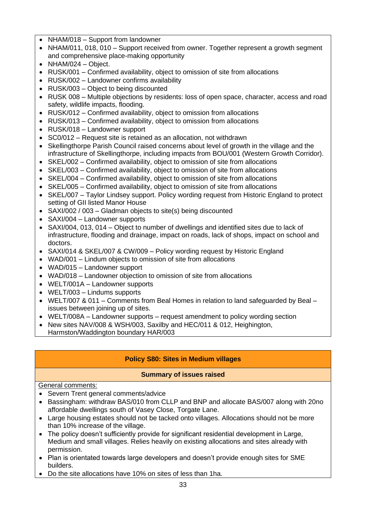- NHAM/018 Support from landowner
- NHAM/011, 018, 010 Support received from owner. Together represent a growth segment and comprehensive place-making opportunity
- NHAM/024 Object.
- RUSK/001 Confirmed availability, object to omission of site from allocations
- RUSK/002 Landowner confirms availability
- RUSK/003 Object to being discounted
- RUSK 008 Multiple objections by residents: loss of open space, character, access and road safety, wildlife impacts, flooding.
- RUSK/012 Confirmed availability, object to omission from allocations
- RUSK/013 Confirmed availability, object to omission from allocations
- RUSK/018 Landowner support
- SC0/012 Request site is retained as an allocation, not withdrawn
- Skellingthorpe Parish Council raised concerns about level of growth in the village and the infrastructure of Skellingthorpe, including impacts from BOU/001 (Western Growth Corridor).
- SKEL/002 Confirmed availability, object to omission of site from allocations
- SKEL/003 Confirmed availability, object to omission of site from allocations
- SKEL/004 Confirmed availability, object to omission of site from allocations
- SKEL/005 Confirmed availability, object to omission of site from allocations
- SKEL/007 Taylor Lindsey support. Policy wording request from Historic England to protect setting of GII listed Manor House
- SAXI/002 / 003 Gladman objects to site(s) being discounted
- SAXI/004 Landowner supports
- SAXI/004, 013, 014 Object to number of dwellings and identified sites due to lack of infrastructure, flooding and drainage, impact on roads, lack of shops, impact on school and doctors.
- SAXI/014 & SKEL/007 & CW/009 Policy wording request by Historic England
- WAD/001 Lindum objects to omission of site from allocations
- WAD/015 Landowner support
- WAD/018 Landowner objection to omission of site from allocations
- WELT/001A Landowner supports
- WELT/003 Lindums supports
- WELT/007 & 011 Comments from Beal Homes in relation to land safeguarded by Beal issues between joining up of sites.
- WELT/008A Landowner supports request amendment to policy wording section
- New sites NAV/008 & WSH/003, Saxilby and HEC/011 & 012, Heighington, Harmston/Waddington boundary HAR/003

## **Policy S80: Sites in Medium villages**

## **Summary of issues raised**

## General comments:

- Severn Trent general comments/advice
- Bassingham: withdraw BAS/010 from CLLP and BNP and allocate BAS/007 along with 20no affordable dwellings south of Vasey Close, Torgate Lane.
- Large housing estates should not be tacked onto villages. Allocations should not be more than 10% increase of the village.
- The policy doesn't sufficiently provide for significant residential development in Large, Medium and small villages. Relies heavily on existing allocations and sites already with permission.
- Plan is orientated towards large developers and doesn't provide enough sites for SME builders.
- Do the site allocations have 10% on sites of less than 1ha.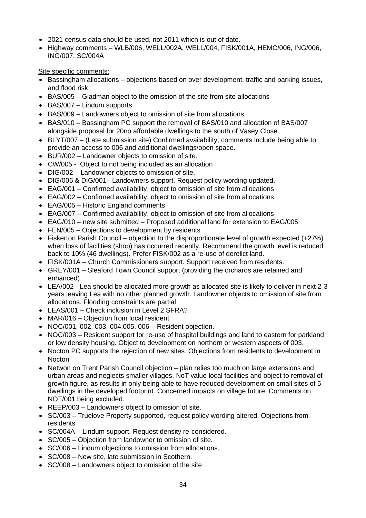- 2021 census data should be used, not 2011 which is out of date.
- Highway comments WLB/006, WELL/002A, WELL/004, FISK/001A, HEMC/006, ING/006, ING/007, SC/004A

Site specific comments:

- Bassingham allocations objections based on over development, traffic and parking issues, and flood risk
- BAS/005 Gladman object to the omission of the site from site allocations
- BAS/007 Lindum supports
- BAS/009 Landowners object to omission of site from allocations
- BAS/010 Bassingham PC support the removal of BAS/010 and allocation of BAS/007 alongside proposal for 20no affordable dwellings to the south of Vasey Close.
- BLYT/007 (Late submission site) Confirmed availability, comments include being able to provide an access to 006 and additional dwellings/open space.
- BUR/002 Landowner objects to omission of site.
- CW/005 Object to not being included as an allocation
- DIG/002 Landowner objects to omission of site.
- DIG/006 & DIG/001– Landowners support. Request policy wording updated.
- EAG/001 Confirmed availability, object to omission of site from allocations
- EAG/002 Confirmed availability, object to omission of site from allocations
- EAG/005 Historic England comments
- EAG/007 Confirmed availability, object to omission of site from allocations
- EAG/010 new site submitted Proposed additional land for extension to EAG/005
- FEN/005 Objections to development by residents
- Fiskerton Parish Council objection to the disproportionate level of growth expected (+27%) when loss of facilities (shop) has occurred recently. Recommend the growth level is reduced back to 10% (46 dwellings). Prefer FISK/002 as a re-use of derelict land.
- FISK/001A Church Commissioners support. Support received from residents.
- GREY/001 Sleaford Town Council support (providing the orchards are retained and enhanced)
- LEA/002 Lea should be allocated more growth as allocated site is likely to deliver in next 2-3 years leaving Lea with no other planned growth. Landowner objects to omission of site from allocations. Flooding constraints are partial
- LEAS/001 Check inclusion in Level 2 SFRA?
- MAR/016 Objection from local resident
- NOC/001, 002, 003, 004,005, 006 Resident objection.
- NOC/003 Resident support for re-use of hospital buildings and land to eastern for parkland or low density housing. Object to development on northern or western aspects of 003.
- Nocton PC supports the rejection of new sites. Objections from residents to development in **Nocton**
- Netwon on Trent Parish Council objection plan relies too much on large extensions and urban areas and neglects smaller villages. NoT value local facilities and object to removal of growth figure, as results in only being able to have reduced development on small sites of 5 dwellings in the developed footprint. Concerned impacts on village future. Comments on NOT/001 being excluded.
- REEP/003 Landowners object to omission of site.
- SC/003 Truelove Property supported, request policy wording altered. Objections from residents
- SC/004A Lindum support. Request density re-considered.
- SC/005 Objection from landowner to omission of site.
- SC/006 Lindum objections to omission from allocations.
- SC/008 New site, late submission in Scothern.
- SC/008 Landowners object to omission of the site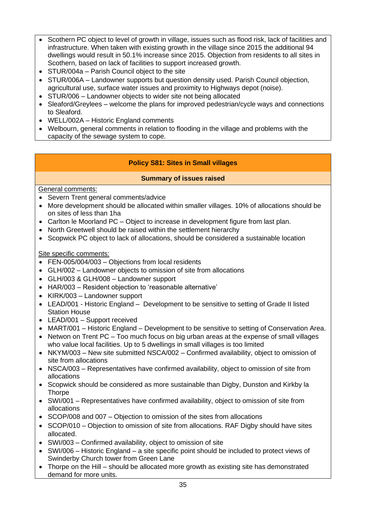- Scothern PC object to level of growth in village, issues such as flood risk, lack of facilities and infrastructure. When taken with existing growth in the village since 2015 the additional 94 dwellings would result in 50.1% increase since 2015. Objection from residents to all sites in Scothern, based on lack of facilities to support increased growth.
- STUR/004a Parish Council object to the site
- STUR/006A Landowner supports but question density used. Parish Council objection, agricultural use, surface water issues and proximity to Highways depot (noise).
- STUR/006 Landowner objects to wider site not being allocated
- Sleaford/Greylees welcome the plans for improved pedestrian/cycle ways and connections to Sleaford.
- WELL/002A Historic England comments
- Welbourn, general comments in relation to flooding in the village and problems with the capacity of the sewage system to cope.

## **Policy S81: Sites in Small villages**

## **Summary of issues raised**

## General comments:

- Severn Trent general comments/advice
- More development should be allocated within smaller villages. 10% of allocations should be on sites of less than 1ha
- Carlton le Moorland PC Object to increase in development figure from last plan.
- North Greetwell should be raised within the settlement hierarchy
- Scopwick PC object to lack of allocations, should be considered a sustainable location

## Site specific comments:

- FEN-005/004/003 Objections from local residents
- GLH/002 Landowner objects to omission of site from allocations
- GLH/003 & GLH/008 Landowner support
- HAR/003 Resident objection to 'reasonable alternative'
- KIRK/003 Landowner support
- LEAD/001 Historic England Development to be sensitive to setting of Grade II listed Station House
- LEAD/001 Support received
- MART/001 Historic England Development to be sensitive to setting of Conservation Area.
- Netwon on Trent PC Too much focus on big urban areas at the expense of small villages who value local facilities. Up to 5 dwellings in small villages is too limited
- NKYM/003 New site submitted NSCA/002 Confirmed availability, object to omission of site from allocations
- NSCA/003 Representatives have confirmed availability, object to omission of site from allocations
- Scopwick should be considered as more sustainable than Digby, Dunston and Kirkby la **Thorpe**
- SWI/001 Representatives have confirmed availability, object to omission of site from allocations
- SCOP/008 and 007 Objection to omission of the sites from allocations
- SCOP/010 Objection to omission of site from allocations. RAF Digby should have sites allocated.
- SWI/003 Confirmed availability, object to omission of site
- SWI/006 Historic England a site specific point should be included to protect views of Swinderby Church tower from Green Lane
- Thorpe on the Hill should be allocated more growth as existing site has demonstrated demand for more units.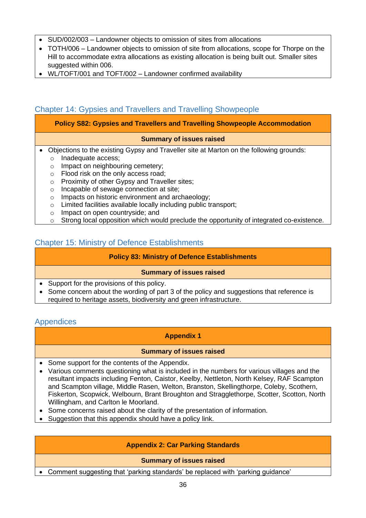- SUD/002/003 Landowner objects to omission of sites from allocations
- TOTH/006 Landowner objects to omission of site from allocations, scope for Thorpe on the Hill to accommodate extra allocations as existing allocation is being built out. Smaller sites suggested within 006.
- WL/TOFT/001 and TOFT/002 Landowner confirmed availability

## <span id="page-35-0"></span>Chapter 14: Gypsies and Travellers and Travelling Showpeople

## **Policy S82: Gypsies and Travellers and Travelling Showpeople Accommodation**

## **Summary of issues raised**

- Objections to the existing Gypsy and Traveller site at Marton on the following grounds: o Inadequate access;
	- o Impact on neighbouring cemetery;
	- o Flood risk on the only access road;
	- o Proximity of other Gypsy and Traveller sites;
	- o Incapable of sewage connection at site;
	- o Impacts on historic environment and archaeology;
	- o Limited facilities available locally including public transport;
	- o Impact on open countryside; and
	- o Strong local opposition which would preclude the opportunity of integrated co-existence.

## <span id="page-35-1"></span>Chapter 15: Ministry of Defence Establishments

#### **Policy 83: Ministry of Defence Establishments**

## **Summary of issues raised**

- Support for the provisions of this policy.
- Some concern about the wording of part 3 of the policy and suggestions that reference is required to heritage assets, biodiversity and green infrastructure.

## <span id="page-35-2"></span>**Appendices**

## **Appendix 1**

#### **Summary of issues raised**

- Some support for the contents of the Appendix.
- Various comments questioning what is included in the numbers for various villages and the resultant impacts including Fenton, Caistor, Keelby, Nettleton, North Kelsey, RAF Scampton and Scampton village, Middle Rasen, Welton, Branston, Skellingthorpe, Coleby, Scothern, Fiskerton, Scopwick, Welbourn, Brant Broughton and Stragglethorpe, Scotter, Scotton, North Willingham, and Carlton le Moorland.
- Some concerns raised about the clarity of the presentation of information.
- Suggestion that this appendix should have a policy link.

## **Appendix 2: Car Parking Standards**

#### **Summary of issues raised**

• Comment suggesting that 'parking standards' be replaced with 'parking guidance'